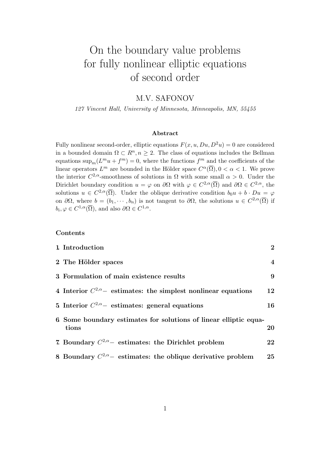# On the boundary value problems for fully nonlinear elliptic equations of second order

# M.V. SAFONOV

*127 Vincent Hall, University of Minnesota, Minneapolis, MN, 55455*

## **Abstract**

Fully nonlinear second-order, elliptic equations  $F(x, u, Du, D^2u) = 0$  are considered in a bounded domain  $\Omega \subset \mathbb{R}^n, n \geq 2$ . The class of equations includes the Bellman equations  $\sup_m(L^m u + f^m) = 0$ , where the functions  $f^m$  and the coefficients of the linear operators  $L^m$  are bounded in the Hölder space  $C^{\alpha}(\overline{\Omega}), 0 < \alpha < 1$ . We prove the interior  $C^{2,\alpha}$ -smoothness of solutions in  $\Omega$  with some small  $\alpha > 0$ . Under the Dirichlet boundary condition  $u = \varphi$  on  $\partial\Omega$  with  $\varphi \in C^{2,\alpha}(\overline{\Omega})$  and  $\partial\Omega \in C^{2,\alpha}$ , the solutions  $u \in C^{2,\alpha}(\overline{\Omega})$ . Under the oblique derivative condition  $b_0u + b \cdot Du = \varphi$ on  $\partial\Omega$ , where  $b = (b_1, \dots, b_n)$  is not tangent to  $\partial\Omega$ , the solutions  $u \in C^{2,\alpha}(\overline{\Omega})$  if  $b_i, \varphi \in C^{1,\alpha}(\overline{\Omega})$ , and also  $\partial \Omega \in C^{1,\alpha}$ .

## **Contents**

| 1. Introduction                                                           | $\overline{2}$   |
|---------------------------------------------------------------------------|------------------|
| 2 The Hölder spaces                                                       | $\boldsymbol{4}$ |
| 3 Formulation of main existence results                                   | 9                |
| 4 Interior $C^{2,\alpha}$ estimates: the simplest nonlinear equations     | 12               |
| 5 Interior $C^{2,\alpha}$ estimates: general equations                    | 16               |
| 6 Some boundary estimates for solutions of linear elliptic equa-<br>tions | 20               |
| 7. Boundary $C^{2,\alpha}$ estimates: the Dirichlet problem               | 22               |
| 8 Boundary $C^{2,\alpha}$ estimates: the oblique derivative problem       | 25               |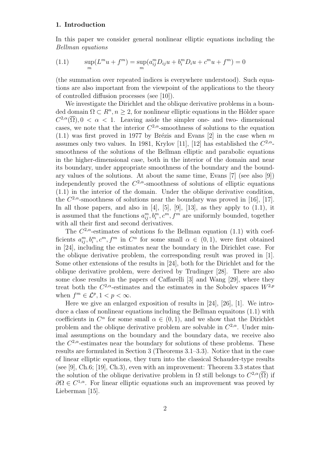## **1. Introduction**

In this paper we consider general nonlinear elliptic equations including the *Bellman equations*

(1.1) 
$$
\sup_m(L^m u + f^m) = \sup_m(a_{ij}^m D_{ij} u + b_i^m D_i u + c^m u + f^m) = 0
$$

(the summation over repeated indices is everywhere understood). Such equations are also important from the viewpoint of the applications to the theory of controlled diffusion processes (see [10]).

We investigate the Dirichlet and the oblique derivative problems in a bounded domain  $\Omega \subset \mathbb{R}^n, n \geq 2$ , for nonlinear elliptic equations in the Hölder space  $C^{2,\alpha}(\overline{\Omega}), 0 < \alpha < 1$ . Leaving aside the simpler one- and two-dimensional cases, we note that the interior  $C^{2,\alpha}$ -smoothness of solutions to the equation  $(1.1)$  was first proved in 1977 by Brézis and Evans [2] in the case when m assumes only two values. In 1981, Krylov [11], [12] has established the  $C^{2,\alpha}$ smoothness of the solutions of the Bellman elliptic and parabolic equations in the higher-dimensional case, both in the interior of the domain and near its boundary, under appropriate smoothness of the boundary and the boundary values of the solutions. At about the same time, Evans [7] (see also [9]) independently proved the  $C^{2,\alpha}$ -smoothness of solutions of elliptic equations (1.1) in the interior of the domain. Under the oblique derivative condition, the  $C^{2,\alpha}$ -smoothness of solutions near the boundary was proved in [16], [17]. In all those papers, and also in  $[4]$ ,  $[5]$ ,  $[9]$ ,  $[13]$ , as they apply to  $(1.1)$ , it is assumed that the functions  $a_{ij}^m, b_i^m, c^m, f^m$  are uniformly bounded, together with all their first and second derivatives.

The  $C^{2,\alpha}$ -estimates of solutions fo the Bellman equation (1.1) with coefficients  $a_{ij}^m, b_i^m, c^m, f^m$  in  $C^{\alpha}$  for some small  $\alpha \in (0,1)$ , were first obtained in [24], including the estimates near the boundary in the Dirichlet case. For the oblique derivative problem, the corresponding result was proved in [1]. Some other extensions of the results in [24], both for the Dirichlet and for the oblique derivative problem, were derived by Trudinger [28]. There are also some close results in the papers of Caffarelli [3] and Wang [29], where they treat both the  $C^{2,\alpha}$ -estimates and the estimates in the Sobolev spaces  $W^{2,p}$ when  $f^m \in \mathcal{L}^p, 1 < p < \infty$ .

Here we give an enlarged exposition of results in [24], [26], [1]. We introduce a class of nonlinear equations including the Bellman equaitons (1.1) with coefficients in  $C^{\alpha}$  for some small  $\alpha \in (0,1)$ , and we show that the Dirichlet problem and the oblique derivative problem are solvable in  $C^{2,\alpha}$ . Under minimal assumptions on the boundary and the boundary data, we receive also the  $C^{2,\alpha}$ -estimates near the boundary for solutions of these problems. These results are formulated in Section 3 (Theorems 3.1–3.3). Notice that in the case of linear elliptic equations, they turn into the classical Schauder-type results (see [9], Ch.6; [19], Ch.3), even with an improvement: Theorem 3.3 states that the solution of the oblique derivative problem in  $\Omega$  still belongs to  $C^{2,\alpha}(\overline{\Omega})$  if  $\partial\Omega \in C^{1,\alpha}$ . For linear elliptic equations such an improvement was proved by Lieberman [15].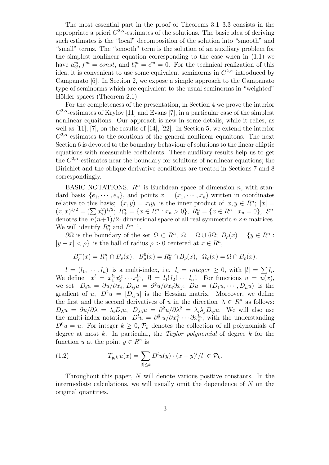The most essential part in the proof of Theorems 3.1–3.3 consists in the appropriate a priori  $C^{2,\alpha}$ -estimates of the solutions. The basic idea of deriving such estimates is the "local" decomposition of the solution into "smooth" and "small" terms. The "smooth" term is the solution of an auxiliary problem for the simplest nonlinear equation corresponding to the case when in (1.1) we have  $a_{ij}^m, f^m = const$ , and  $b_i^m = c^m = 0$ . For the technical realization of this idea, it is convenient to use some equivalent seminorms in *C* <sup>2</sup>*,α* introduced by Campanato [6]. In Section 2, we expose a simple approach to the Campanato type of seminorms which are equivalent to the usual seminorms in "weighted" Hölder spaces (Theorem 2.1).

For the completeness of the presentation, in Section 4 we prove the interior  $C^{2,\alpha}$ -estimates of Krylov [11] and Evans [7], in a particular case of the simplest nonlinear equaitons. Our approach is new in some details, while it relies, as well as  $[11]$ ,  $[7]$ , on the results of  $[14]$ ,  $[22]$ . In Section 5, we extend the interior  $C^{2,\alpha}$ -estimates to the solutions of the general nonlinear equaitons. The next Section 6 is devoted to the boundary behaviour of solutions to the linear elliptic equations with measurable coefficients. These auxiliary results help us to get the  $C^{2,\alpha}$ -estimates near the boundary for soluitons of nonlinear equations; the Dirichlet and the oblique derivative conditions are treated in Sections 7 and 8 correspondingly.

BASIC NOTATIONS.  $R^n$  is Euclidean space of dimension *n*, with standard basis  $\{e_1, \dots, e_n\}$ , and points  $x = (x_1, \dots, x_n)$  written in coordinates relative to this basis;  $(x, y) = x_i y_i$  is the inner product of  $x, y \in \mathbb{R}^n$ ;  $|x| =$  $(x, x)^{1/2} = (\sum x_i^2)^{1/2}; R_+^n = \{x \in R^n : x_n > 0\}, R_0^n = \{x \in R^n : x_n = 0\}, S^n$ denotes the  $n(n+1)/2$ - dimensional space of all real symmetric  $n \times n$  matrices. We will identify  $R_0^n$  and  $R^{n-1}$ .

*∂*Ω is the boundary of the set  $Ω ⊂ R^n$ ,  $\overline{Ω} = Ω ∪ ∂Ω$ ;  $B_ρ(x) = {y ∈ R^n}$ : *|y* − *x*| < *ρ*} is the ball of radius *ρ* > 0 centered at *x* ∈ *R*<sup>*n*</sup></sub>,

$$
B_{\rho}^{+}(x) = R_{+}^{n} \cap B_{\rho}(x), \quad B_{\rho}^{0}(x) = R_{0}^{n} \cap B_{\rho}(x), \quad \Omega_{\rho}(x) = \Omega \cap B_{\rho}(x).
$$

 $l = (l_1, \dots, l_n)$  is a multi-index, i.e.  $l_i = integer \geq 0$ , with  $|l| = \sum l_i$ . We define  $x^l = x_1^{l_1} x_2^{l_2} \cdots x_n^{l_n}$ ,  $l! = l_1! l_2! \cdots l_n!$ . For functions  $u = \overline{u(x)}$ , we set  $D_i u = \partial u / \partial x_i$ ,  $D_{ij} u = \partial^2 u / \partial x_i \partial x_j$ ;  $Du = (D_1 u, \dots, D_n u)$  is the gradient of *u*,  $D^2u = [D_{ij}u]$  is the Hessian matrix. Moreover, we define the first and the second derivatives of *u* in the direction  $\lambda \in R^n$  as follows:  $D_\lambda u = \partial u / \partial \lambda = \lambda_i D_i u$ ,  $D_{\lambda \lambda} u = \partial^2 u / \partial \lambda^2 = \lambda_i \lambda_j D_{ij} u$ . We will also use the multi-index notation  $D^l u = \partial^{[l]} u / \partial x_1^{l_1} \cdots \partial x_n^{l_n}$ , with the understanding  $D^0u = u$ . For integer  $k \geq 0$ ,  $\mathcal{P}_k$  denotes the collection of all polynomials of degree at most *k*. In particular, the *Taylor polynomial* of degree *k* for the function *u* at the point  $y \in R^n$  is

(1.2) 
$$
T_{y,k} u(x) = \sum_{|l| \le k} D^l u(y) \cdot (x - y)^l / l! \in \mathcal{P}_k.
$$

Throughout this paper, *N* will denote various positive constants. In the intermediate calculations, we will usually omit the dependence of *N* on the original quantities.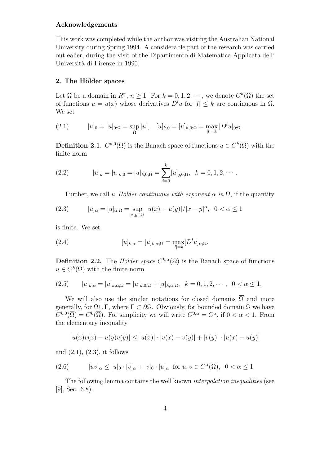#### **Acknowledgements**

This work was completed while the author was visiting the Australian National University during Spring 1994. A considerable part of the research was carried out ealier, during the visit of the Dipartimento di Matematica Applicata dell' Università di Firenze in 1990.

## **2. The H¨older spaces**

Let  $\Omega$  be a domain in  $R^n$ ,  $n \geq 1$ . For  $k = 0, 1, 2, \dots$ , we denote  $C^k(\Omega)$  the set of functions  $u = u(x)$  whose derivatives  $D^l u$  for  $|l| \leq k$  are continuous in  $\Omega$ . We set

(2.1) 
$$
|u|_0 = |u|_{0;\Omega} = \sup_{\Omega} |u|, \quad [u]_{k,0} = [u]_{k,0;\Omega} = \max_{|l|=k} |D^l u|_{0;\Omega}.
$$

**Definition 2.1.**  $C^{k,0}(\Omega)$  is the Banach space of functions  $u \in C^k(\Omega)$  with the finite norm

(2.2) 
$$
|u|_{k} = |u|_{k,0} = |u|_{k,0;\Omega} = \sum_{j=0}^{k} [u]_{j,0;\Omega}, \quad k = 0, 1, 2, \cdots.
$$

Further, we call *u Hölder continuous with exponent*  $\alpha$  *in*  $\Omega$ , if the quantity

(2.3) 
$$
[u]_{\alpha} = [u]_{\alpha;\Omega} = \sup_{x,y \in \Omega} |u(x) - u(y)| / |x - y|^{\alpha}, \ \ 0 < \alpha \le 1
$$

is finite. We set

(2.4) 
$$
[u]_{k,\alpha} = [u]_{k,\alpha;\Omega} = \max_{|l|=k} [D^l u]_{\alpha;\Omega}.
$$

**Definition 2.2.** The *Hölder space*  $C^{k,\alpha}(\Omega)$  is the Banach space of functions  $u \in C^k(\Omega)$  with the finite norm

$$
(2.5) \t |u|_{k,\alpha} = |u|_{k,\alpha;\Omega} = |u|_{k,0;\Omega} + [u]_{k,\alpha;\Omega}, \t k = 0,1,2,\cdots, 0 < \alpha \le 1.
$$

We will also use the similar notations for closed domains  $\overline{\Omega}$  and more generally, for  $\Omega \cup \Gamma$ , where  $\Gamma \subset \partial \Omega$ . Obviously, for bounded domain  $\Omega$  we have  $C^{k,0}(\overline{\Omega}) = C^k(\overline{\Omega})$ . For simplicity we will write  $C^{0,\alpha} = C^{\alpha}$ , if  $0 < \alpha < 1$ . From the elementary inequality

$$
|u(x)v(x) - u(y)v(y)| \le |u(x)| \cdot |v(x) - v(y)| + |v(y)| \cdot |u(x) - u(y)|
$$

and  $(2.1)$ ,  $(2.3)$ , it follows

(2.6) 
$$
[uv]_{\alpha} \le |u|_{0} \cdot [v]_{\alpha} + |v|_{0} \cdot [u]_{\alpha} \text{ for } u, v \in C^{\alpha}(\Omega), \ 0 < \alpha \le 1.
$$

The following lemma contains the well known *interpolation inequalities* (see [9], Sec. 6.8).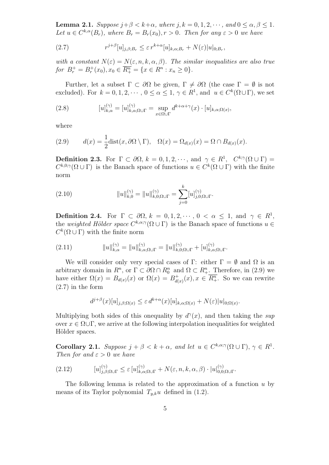**Lemma 2.1.** *Suppose*  $j + \beta < k + \alpha$ *, where*  $j, k = 0, 1, 2, \dots$ *, and*  $0 \leq \alpha, \beta \leq 1$ *. Let*  $u \in C^{k,\alpha}(B_r)$ *, where*  $B_r = B_r(x_0)$ *, r* > 0*. Then for any*  $\varepsilon > 0$  *we have* 

(2.7) 
$$
r^{j+\beta}[u]_{j,\beta;B_r} \leq \varepsilon r^{k+\alpha}[u]_{k,\alpha;B_r} + N(\varepsilon)|u|_{0;B_r},
$$

*with a constant*  $N(\varepsilon) = N(\varepsilon, n, k, \alpha, \beta)$ *. The similar inequalities are also true for*  $B_r^+ = B_r^+(x_0), x_0 \in \overline{R_+^n} = \{x \in R^n : x_n \ge 0\}.$ 

Further, let a subset  $\Gamma \subset \partial\Omega$  be given,  $\Gamma \neq \partial\Omega$  (the case  $\Gamma = \emptyset$  is not excluded). For  $k = 0, 1, 2, \cdots, 0 \le \alpha \le 1, \gamma \in R^1$ , and  $u \in C^k(\Omega \cup \Gamma)$ , we set

(2.8) 
$$
[u]_{k,\alpha}^{(\gamma)} = [u]_{k,\alpha;\Omega \cup \Gamma}^{(\gamma)} = \sup_{x \in \Omega \cup \Gamma} d^{k+\alpha+\gamma}(x) \cdot [u]_{k,\alpha;\Omega(x)},
$$

where

(2.9) 
$$
d(x) = \frac{1}{2}\text{dist}(x, \partial \Omega \setminus \Gamma), \quad \Omega(x) = \Omega_{d(x)}(x) = \Omega \cap B_{d(x)}(x).
$$

**Definition 2.3.** For  $\Gamma \subset \partial\Omega$ ,  $k = 0, 1, 2, \dots$ , and  $\gamma \in R^1$ ,  $C^{k;\gamma}(\Omega \cup \Gamma) =$  $C^{k,0; \gamma}(\Omega \cup \Gamma)$  is the Banach space of functions  $u \in C^k(\Omega \cup \Gamma)$  with the finite norm

(2.10) 
$$
||u||_{k,0}^{(\gamma)} = ||u||_{k,0;\Omega \cup \Gamma}^{(\gamma)} = \sum_{j=0}^{k} [u]_{j,0;\Omega \cup \Gamma}^{(\gamma)}.
$$

**Definition 2.4.** For  $\Gamma \subset \partial\Omega$ ,  $k = 0, 1, 2, \dots, 0 < \alpha \leq 1$ , and  $\gamma \in R^1$ , the *weighted Hölder space*  $C^{k,\alpha;\gamma}(\Omega \cup \Gamma)$  is the Banach space of functions  $u \in$  $C^k(\Omega \cup \Gamma)$  with the finite norm

(2.11) *∥u∥* (*γ*) *k,α* = *∥u∥* (*γ*) *k,α*;Ω*∪*<sup>Γ</sup> = *∥u∥* (*γ*) *k,*0;Ω*∪*<sup>Γ</sup> + [*u*] (*γ*) *k,α*;Ω*∪*Γ *.*

We will consider only very special cases of  $\Gamma$ : either  $\Gamma = \emptyset$  and  $\Omega$  is an arbitrary domain in  $R^n$ , or  $\Gamma \subset \partial\Omega \cap R_0^n$  and  $\Omega \subset R_+^n$ . Therefore, in (2.9) we have either  $\Omega(x) = B_{d(x)}(x)$  or  $\Omega(x) = B_{d(x)}^+$  $d_{d(x)}^+(x), x \in \overline{R^n_+}$ . So we can rewrite  $(2.7)$  in the form

$$
d^{j+\beta}(x)[u]_{j,\beta;\Omega(x)} \leq \varepsilon d^{k+\alpha}(x)[u]_{k,\alpha;\Omega(x)} + N(\varepsilon)|u|_{0;\Omega(x)}.
$$

Multiplying both sides of this onequality by  $d^{\gamma}(x)$ , and then taking the *sup* over  $x \in \Omega \cup \Gamma$ , we arrive at the following interpolation inequalities for weighted Hölder spaces.

**Corollary 2.1.** *Suppose*  $j + \beta < k + \alpha$ *, and let*  $u \in C^{k,\alpha;\gamma}(\Omega \cup \Gamma), \gamma \in R^1$ *. Then for and*  $\varepsilon > 0$  *we have* 

$$
(2.12) \t [u]_{j,\beta;\Omega\cup\Gamma}^{(\gamma)} \leq \varepsilon \left[ u \right]_{k,\alpha;\Omega\cup\Gamma}^{(\gamma)} + N(\varepsilon,n,k,\alpha,\beta) \cdot |u|_{0,0;\Omega\cup\Gamma}^{(\gamma)}.
$$

The following lemma is related to the approximation of a function *u* by means of its Taylor polynomial  $T_{y,k}u$  defined in (1.2).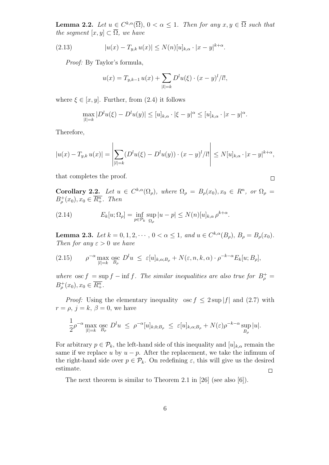**Lemma 2.2.** *Let*  $u \in C^{k,\alpha}(\overline{\Omega})$ ,  $0 < \alpha \leq 1$ . *Then for any*  $x, y \in \overline{\Omega}$  *such that the segment*  $[x, y] \subset \overline{\Omega}$ *, we have* 

(2.13) 
$$
|u(x) - T_{y,k} u(x)| \le N(n)[u]_{k,\alpha} \cdot |x - y|^{k+\alpha}.
$$

*Proof:* By Taylor's formula,

$$
u(x) = T_{y,k-1} u(x) + \sum_{|l|=k} D^l u(\xi) \cdot (x - y)^l / l!,
$$

where  $\xi \in [x, y]$ . Further, from (2.4) it follows

$$
\max_{|l|=k} |D^l u(\xi) - D^l u(y)| \leq [u]_{k,\alpha} \cdot |\xi - y|^{\alpha} \leq [u]_{k,\alpha} \cdot |x - y|^{\alpha}.
$$

Therefore,

$$
|u(x) - T_{y,k} u(x)| = \left| \sum_{|l|=k} (D^l u(\xi) - D^l u(y)) \cdot (x - y)^l / l! \right| \le N[u]_{k,\alpha} \cdot |x - y|^{k+\alpha},
$$

that completes the proof.

 $\Box$ 

**Corollary 2.2.** *Let*  $u \in C^{k,\alpha}(\Omega_\rho)$ , where  $\Omega_\rho = B_\rho(x_0), x_0 \in R^n$ , or  $\Omega_\rho =$  $B^+_{\rho}(x_0), x_0 \in \overline{R^n_+}$ *. Then* 

(2.14) 
$$
E_k[u; \Omega_\rho] = \inf_{p \in \mathcal{P}_k} \sup_{\Omega_\rho} |u - p| \le N(n)[u]_{k,\alpha} \rho^{k+\alpha}.
$$

**Lemma 2.3.** Let  $k = 0, 1, 2, \dots, 0 < \alpha \le 1$ , and  $u \in C^{k,\alpha}(B_\rho)$ ,  $B_\rho = B_\rho(x_0)$ . *Then for any*  $\varepsilon > 0$  *we have* 

(2.15) 
$$
\rho^{-\alpha} \max_{|l|=k} \sum_{B_{\rho}}^{\infty} D^l u \leq \varepsilon [u]_{k,\alpha;B_{\rho}} + N(\varepsilon,n,k,\alpha) \cdot \rho^{-k-\alpha} E_k[u;B_{\rho}],
$$

*where*  $\csc f = \sup f - \inf f$ . The similar inequalities are also true for  $B_{\rho}^{+} =$  $B^+_{\rho}(x_0), x_0 \in \overline{R^n_+}.$ 

*Proof:* Using the elementary inequality  $\csc f \leq 2 \sup |f|$  and (2.7) with  $r = \rho$ ,  $j = k$ ,  $\beta = 0$ , we have

$$
\frac{1}{2}\rho^{-\alpha}\max_{|l|=k}\operatorname*{osc}_{B_{\rho}}D^{l}u\ \leq\ \rho^{-\alpha}[u]_{k,0;B_{\rho}}\ \leq\ \varepsilon[u]_{k,\alpha;B_{\rho}}+N(\varepsilon)\rho^{-k-\alpha}\sup_{B_{\rho}}|u|.
$$

For arbitrary  $p \in \mathcal{P}_k$ , the left-hand side of this inequality and  $[u]_{k,\alpha}$  remain the same if we replace *u* by  $u - p$ . After the replacement, we take the infimum of the right-hand side over  $p \in \mathcal{P}_k$ . On redefining  $\varepsilon$ , this will give us the desired estimate.  $\Box$ 

The next theorem is similar to Theorem 2.1 in [26] (see also [6]).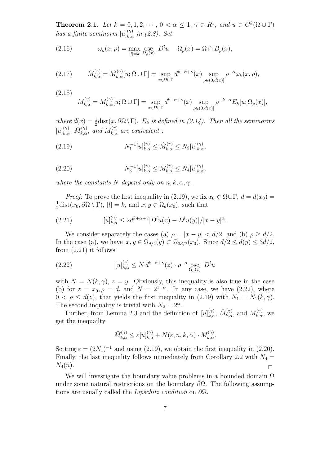**Theorem 2.1.** *Let*  $k = 0, 1, 2, \cdots, 0 < \alpha \leq 1, \gamma \in R^1$ , and  $u \in C^k(\Omega \cup \Gamma)$ *has a finite seminorm*  $[u]_{k,\alpha}^{(\gamma)}$  *in (2.8). Set* 

(2.16) 
$$
\omega_k(x,\rho) = \max_{|l|=k} \operatorname*{osc}_{\Omega_{\rho}(x)} D^l u, \quad \Omega_{\rho}(x) = \Omega \cap B_{\rho}(x),
$$

$$
(2.17) \qquad \hat{M}_{k,\alpha}^{(\gamma)} = \hat{M}_{k,\alpha}^{(\gamma)}[u;\Omega \cup \Gamma] = \sup_{x \in \Omega \cup \Gamma} d^{k+\alpha+\gamma}(x) \sup_{\rho \in (0,d(x)]} \rho^{-\alpha} \omega_k(x,\rho),
$$

(2.18)  
\n
$$
M_{k,\alpha}^{(\gamma)} = M_{k,\alpha}^{(\gamma)}[u; \Omega \cup \Gamma] = \sup_{x \in \Omega \cup \Gamma} d^{k+\alpha+\gamma}(x) \sup_{\rho \in (0,d(x))} \rho^{-k-\alpha} E_k[u; \Omega_\rho(x)],
$$

where  $d(x) = \frac{1}{2}$  dist $(x, \partial \Omega \setminus \Gamma)$ *, E<sub>k</sub> is defined in (2.14). Then all the seminorms*  $[u]_{k,\alpha}^{(\gamma)}$ ,  $\hat{M}_{k,\alpha}^{(\gamma)}$ , and  $M_{k,\alpha}^{(\gamma)}$  are equivalent :

(2.19) 
$$
N_1^{-1}[u]_{k,\alpha}^{(\gamma)} \leq \hat{M}_{k,\alpha}^{(\gamma)} \leq N_2[u]_{k,\alpha}^{(\gamma)},
$$

(2.20) 
$$
N_3^{-1}[u]_{k,\alpha}^{(\gamma)} \le M_{k,\alpha}^{(\gamma)} \le N_4[u]_{k,\alpha}^{(\gamma)},
$$

*where the constants*  $N$  *depend only on*  $n, k, \alpha, \gamma$ *.* 

*Proof:* To prove the first inequality in (2.19), we fix  $x_0 \in \Omega \cup \Gamma$ ,  $d = d(x_0)$ 1  $\frac{1}{2}$ dist(*x*<sub>0</sub>,  $\partial\Omega \setminus \Gamma$ ),  $|l| = k$ , and  $x, y \in \Omega_d(x_0)$ , such that

(2.21) 
$$
[u]_{k,\alpha}^{(\gamma)} \le 2d^{k+\alpha+\gamma}|D^l u(x) - D^l u(y)|/|x-y|^{\alpha}.
$$

We consider separately the cases (a)  $\rho = |x - y| < d/2$  and (b)  $\rho \ge d/2$ . In the case (a), we have  $x, y \in \Omega_{d/2}(y) \subset \Omega_{3d/2}(x_0)$ . Since  $d/2 \leq d(y) \leq 3d/2$ , from (2.21) it follows

(2.22) 
$$
[u]_{k,\alpha}^{(\gamma)} \le N d^{k+\alpha+\gamma}(z) \cdot \rho^{-\alpha} \operatorname*{osc}_{\Omega_{\rho}(z)} D^l u
$$

with  $N = N(k, \gamma)$ ,  $z = y$ . Obviously, this inequality is also true in the case (b) for  $z = x_0, \rho = d$ , and  $N = 2^{1+\alpha}$ . In any case, we have (2.22), where  $0 < \rho \leq d(z)$ , that yields the first inequality in (2.19) with  $N_1 = N_1(k, \gamma)$ . The second inquality is trivial with  $N_2 = 2^{\alpha}$ .

Further, from Lemma 2.3 and the definition of  $[u]_{k,\alpha}^{(\gamma)}$ ,  $\hat{M}_{k,\alpha}^{(\gamma)}$ , and  $M_{k,\alpha}^{(\gamma)}$ , we get the inequailty

$$
\hat{M}_{k,\alpha}^{(\gamma)} \le \varepsilon[u]_{k,\alpha}^{(\gamma)} + N(\varepsilon, n, k, \alpha) \cdot M_{k,\alpha}^{(\gamma)}.
$$

Setting  $\varepsilon = (2N_1)^{-1}$  and using (2.19), we obtain the first inequality in (2.20). Finally, the last inequality follows immediately from Corollary 2.2 with  $N_4$  = *N*4(*n*).  $\Box$ 

We will investigate the boundary value problems in a bounded domain  $\Omega$ under some natural restrictions on the boundary *∂*Ω. The following assumptions are usually called the *Lipschitz condition* on *∂*Ω.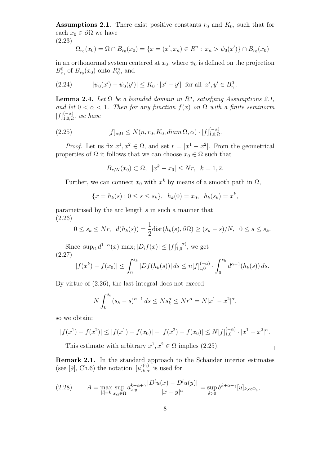**Assumptions 2.1.** There exist positive constants  $r_0$  and  $K_0$ , such that for each  $x_0 \in \partial \Omega$  we have

(2.23)

$$
\Omega_{r_0}(x_0) = \Omega \cap B_{r_0}(x_0) = \{x = (x', x_n) \in R^n : x_n > \psi_0(x')\} \cap B_{r_0}(x_0)
$$

in an orthonormal system centered at  $x_0$ , where  $\psi_0$  is defined on the projection  $B_{r_0}^0$  of  $B_{r_0}(x_0)$  onto  $R_0^n$ , and

(2.24) 
$$
|\psi_0(x') - \psi_0(y')| \le K_0 \cdot |x' - y'| \text{ for all } x', y' \in B_{r_0}^0.
$$

**Lemma 2.4.** *Let*  $\Omega$  *be a bounded domain in*  $R^n$ *, satisfying Assumptions 2.1, and let*  $0 < \alpha < 1$ *. Then for any function*  $f(x)$  *on*  $\Omega$  *with a finite seminorm*  $[f]_{1,0;\Omega}^{(-\alpha)}$ , we have

(2.25) 
$$
[f]_{\alpha;\Omega} \le N(n,r_0,K_0, \operatorname{diam}\Omega,\alpha) \cdot [f]_{1,0;\Omega}^{(-\alpha)}.
$$

*Proof.* Let us fix  $x^1, x^2 \in \Omega$ , and set  $r = |x^1 - x^2|$ . From the geometrical properties of  $\Omega$  it follows that we can choose  $x_0 \in \Omega$  such that

$$
B_{r/N}(x_0) \subset \Omega, \ |x^k - x_0| \leq Nr, \ k = 1, 2.
$$

Further, we can connect  $x_0$  with  $x^k$  by means of a smooth path in  $\Omega$ ,

$$
\{x = h_k(s) : 0 \le s \le s_k\}, h_k(0) = x_0, h_k(s_k) = x^k,
$$

parametrised by the arc length *s* in such a manner that (2.26)

$$
0 \le s_k \le Nr, \quad d(h_k(s)) = \frac{1}{2}\text{dist}(h_k(s), \partial\Omega) \ge (s_k - s)/N, \quad 0 \le s \le s_k.
$$

Since  $\sup_{\Omega} d^{1-\alpha}(x) \max_{i} |D_{i}f(x)| \leq [f]_{1,0}^{(-\alpha)}$ , we get (2.27)

$$
|f(x^k) - f(x_0)| \le \int_0^{s_k} |Df(h_k(s))| ds \le n[f]_{1,0}^{(-\alpha)} \cdot \int_0^{s_k} d^{\alpha-1}(h_k(s)) ds.
$$

By virtue of (2.26), the last integral does not exceed

$$
N \int_0^{s_k} (s_k - s)^{\alpha - 1} ds \le N s_k^{\alpha} \le N r^{\alpha} = N |x^1 - x^2|^{\alpha},
$$

so we obtain:

$$
|f(x^{1}) - f(x^{2})| \le |f(x^{1}) - f(x_{0})| + |f(x^{2}) - f(x_{0})| \le N[f]_{1,0}^{(-\alpha)} \cdot |x^{1} - x^{2}|^{\alpha}.
$$

 $\Box$ 

This estimate with arbitrary  $x^1, x^2 \in \Omega$  implies (2.25).

**Remark 2.1.** In the standard approach to the Schauder interior estimates (see [9], Ch.6) the notation  $[u]_{k,\alpha}^{(\gamma)}$  is used for

$$
(2.28) \qquad A = \max_{|l|=k} \sup_{x,y \in \Omega} d_{x,y}^{k+\alpha+\gamma} \frac{|D^l u(x) - D^l u(y)|}{|x-y|^{\alpha}} = \sup_{\delta > 0} \delta^{k+\alpha+\gamma} [u]_{k,\alpha;\Omega_{\delta}},
$$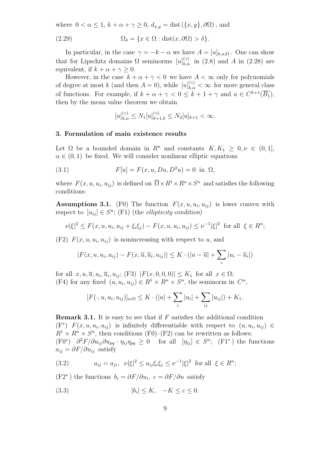where  $0 < \alpha \leq 1$ ,  $k + \alpha + \gamma \geq 0$ ,  $d_{x,y} = \text{dist}(\{x, y\}, \partial\Omega)$ , and

(2.29) 
$$
\Omega_{\delta} = \{x \in \Omega : \text{dist}(x, \partial \Omega) > \delta\}.
$$

In particular, in the case  $\gamma = -k - \alpha$  we have  $A = [u]_{k,\alpha;\Omega}$ . One can show that for Lipschitz domains  $\Omega$  seminorms  $[u]_{k,\alpha}^{(\gamma)}$  in (2.8) and *A* in (2.28) are equivalent, if  $k + \alpha + \gamma \geq 0$ .

However, in the case  $k + \alpha + \gamma < 0$  we have  $A < \infty$  only for polynomials of degree at most *k* (and then  $A = 0$ ), while  $[u]_{k,\alpha}^{(\gamma)} < \infty$  for more general class of functions. For example, if  $k + \alpha + \gamma < 0 \leq k + 1 + \gamma$  and  $u \in C^{k+1}(\overline{B_1})$ , then by the mean value theorem we obtain

$$
[u]_{k,\alpha}^{(\gamma)} \le N_1[u]_{k+1,0}^{(\gamma)} \le N_2[u]_{k+1} < \infty.
$$

#### **3. Formulation of main existence results**

Let  $\Omega$  be a bounded domain in  $R^n$  and constants  $K, K_1 \geq 0, \nu \in (0,1]$ ,  $\alpha \in (0, 1)$  be fixed. We will consider nonlinear elliptic equations

(3.1) 
$$
F[u] = F(x, u, Du, D^2u) = 0 \text{ in } \Omega,
$$

where  $F(x, u, u_i, u_{ij})$  is defined on  $\overline{\Omega} \times R^1 \times R^n \times S^n$  and satisfies the following conditions:

**Assumptions 3.1.** (F0) The function  $F(x, u, u_i, u_{ij})$  is lower convex with respect to  $[u_{ij}] \in S^n$ ; (F1) (the *ellipticity condition*)

$$
\nu |\xi|^2 \le F(x, u, u_i, u_{ij} + \xi_i \xi_j) - F(x, u, u_i, u_{ij}) \le \nu^{-1} |\xi|^2 \text{ for all } \xi \in R^n;
$$

 $(F2)$   $F(x, u, u_i, u_{ij})$  is nonincreasing with respect to *u*, and

$$
|F(x, u, u_i, u_{ij}) - F(x, \overline{u}, \overline{u}_i, u_{ij})| \le K \cdot (|u - \overline{u}| + \sum_i |u_i - \overline{u}_i|)
$$

 $\int |F(x, 0, 0, 0)| \leq K_1 \text{ for all } x \in \Omega;$ (F4) for any fixed  $(u, u_i, u_{ij}) \in R^1 \times R^n \times S^n$ , the seminorm in  $C^{\alpha}$ ,

$$
[F(\cdot, u, u_i, u_{ij})]_{\alpha;\Omega} \leq K \cdot (|u| + \sum_i |u_i| + \sum_{ij} |u_{ij}|) + K_1.
$$

**Remark 3.1.** It is easy to see that if *F* satisfies the additional condition  $(F^*)$   $F(x, u, u_i, u_{ij})$  is infinitely differentiable with respect to  $(u, u_i, u_{ij}) \in$  $R^1 \times R^n \times S^n$ , then conditions (F0)–(F2) can be rewritten as follows:  $(F0^*)$   $\partial^2 F/\partial u_{ij}\partial u_{pq} \cdot \eta_{ij}\eta_{pq} \geq 0$  for all  $[\eta_{ij}] \in S^n$ ;  $(F1^*)$  the functions  $a_{ij} = \partial F / \partial u_{ij}$  satisfy

(3.2) 
$$
a_{ij} = a_{ji}, \quad \nu |\xi|^2 \le a_{ij} \xi_i \xi_j \le \nu^{-1} |\xi|^2 \text{ for all } \xi \in R^n;
$$

 $(F2^*)$  the functions  $b_i = \partial F / \partial u_i$ ,  $c = \partial F / \partial u$  satisfy

$$
(3.3) \t\t\t |b_i| \le K, \quad -K \le c \le 0.
$$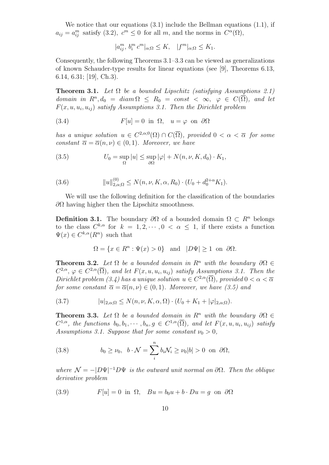We notice that our equations  $(3.1)$  include the Bellman equations  $(1.1)$ , if  $a_{ij} = a_{ij}^m$  satisfy (3.2),  $c^m \leq 0$  for all *m*, and the norms in  $C^{\alpha}(\Omega)$ ,

 $|a_{ij}^m, b_i^m c^m|_{\alpha;\Omega} \le K, \quad |f^m|_{\alpha;\Omega} \le K_1.$ 

Consequently, the following Theorems 3.1–3.3 can be viewed as generalizations of known Schauder-type results for linear equations (see [9], Theorems 6.13, 6.14, 6.31; [19], Ch.3).

**Theorem 3.1.** *Let*  $\Omega$  *be a bounded Lipschitz (satisfying Assumptions 2.1) domain in*  $R^n, d_0 = diam \Omega \leq R_0 = const < \infty$ ,  $\varphi \in C(\overline{\Omega})$ , and let  $F(x, u, u_i, u_{ij})$  satisfy Assumptions 3.1. Then the Dirichlet problem

(3.4) 
$$
F[u] = 0 \text{ in } \Omega, \quad u = \varphi \text{ on } \partial\Omega
$$

*has a unique solution*  $u \in C^{2,\alpha,0}(\Omega) \cap C(\overline{\Omega})$ *, provided*  $0 < \alpha < \overline{\alpha}$  for some *constant*  $\overline{\alpha} = \overline{\alpha}(n, \nu) \in (0, 1)$ *. Moreover, we have* 

(3.5) 
$$
U_0 = \sup_{\Omega} |u| \leq \sup_{\partial \Omega} |\varphi| + N(n, \nu, K, d_0) \cdot K_1,
$$

(3.6) 
$$
||u||_{2,\alpha;\Omega}^{(0)} \le N(n,\nu,K,\alpha,R_0) \cdot (U_0 + d_0^{2+\alpha} K_1).
$$

We will use the following definition for the classification of the boundaries *∂Ω* having higher then the Lipschitz smoothness.

**Definition 3.1.** The boundary  $\partial\Omega$  of a bounded domain  $\Omega \subset R^n$  belongs to the class  $C^{k,\alpha}$  for  $k = 1, 2, \cdots, 0 < \alpha \leq 1$ , if there exists a function  $\Psi(x) \in C^{k,\alpha}(R^n)$  such that

$$
\Omega = \{ x \in R^n : \Psi(x) > 0 \} \quad \text{and} \quad |D\Psi| \ge 1 \text{ on } \partial\Omega.
$$

**Theorem 3.2.** *Let*  $\Omega$  *be a bounded domain in*  $R^n$  *with the boundary*  $\partial \Omega \in$  $C^{2,\alpha}, \varphi \in C^{2,\alpha}(\overline{\Omega})$ *, and let*  $F(x, u, u_i, u_{ij})$  *satisfy Assumptions 3.1. Then the Dirichlet problem (3.4) has a unique solution*  $u \in C^{2,\alpha}(\overline{\Omega})$ *, provided*  $0 < \alpha < \overline{\alpha}$ *for some constant*  $\overline{\alpha} = \overline{\alpha}(n, \nu) \in (0, 1)$ *. Moreover, we have* (3.5) and

(3.7) 
$$
|u|_{2,\alpha;\Omega} \le N(n,\nu,K,\alpha,\Omega) \cdot (U_0 + K_1 + |\varphi|_{2,\alpha;\Omega}).
$$

**Theorem 3.3.** *Let*  $\Omega$  *be a bounded domain in*  $R^n$  *with the boundary*  $\partial \Omega \in$  $C^{1,\alpha}$ , the functions  $b_0, b_1, \cdots, b_n, g \in C^{1,\alpha}(\overline{\Omega})$ , and let  $F(x, u, u_i, u_{ij})$  satisfy *Assumptions 3.1. Suppose that for some constant*  $\nu_0 > 0$ ,

(3.8) 
$$
b_0 \ge \nu_0, \ \ b \cdot \mathcal{N} = \sum_i^n b_i \mathcal{N}_i \ge \nu_0 |b| > 0 \ \text{on} \ \partial \Omega,
$$

*where*  $\mathcal{N} = -|D\Psi|^{-1}D\Psi$  *is the outward unit normal on*  $\partial\Omega$ *. Then the oblique derivative problem*

(3.9) 
$$
F[u] = 0 \text{ in } \Omega, \quad Bu = b_0 u + b \cdot Du = g \text{ on } \partial \Omega
$$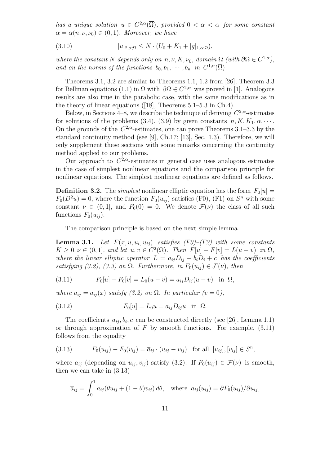*has a unique solution*  $u \in C^{2,\alpha}(\overline{\Omega})$ *, provided*  $0 < \alpha < \overline{\alpha}$  *for some constant*  $\overline{\alpha} = \overline{\alpha}(n, \nu, \nu_0) \in (0, 1)$ *. Moreover, we have* 

(3.10) 
$$
|u|_{2,\alpha;\Omega} \le N \cdot (U_0 + K_1 + |g|_{1,\alpha;\Omega}),
$$

*where the constant N depends only on*  $n, \nu, K, \nu_0$ *, domain*  $\Omega$  *(with*  $\partial \Omega \in C^{1,\alpha}$ *)*, *and on the norms of the functions*  $b_0, b_1, \dots, b_n$  *in*  $C^{1,\alpha}(\overline{\Omega})$ *.* 

Theorems 3.1, 3.2 are similar to Theorems 1.1, 1.2 from [26], Theorem 3.3 for Bellman equations (1.1) in  $\Omega$  with  $\partial \Omega \in C^{2,\alpha}$  was proved in [1]. Analogous results are also true in the parabolic case, with the same modifications as in the theory of linear equations ([18], Theorems 5.1–5.3 in Ch.4).

Below, in Sections 4–8, we describe the technique of deriving *C* <sup>2</sup>*,α*-estimates for solutions of the problems (3.4), (3.9) by given constants  $n, K, K_1, \alpha, \cdots$ . On the grounds of the  $C^{2,\alpha}$ -estimates, one can prove Theorems 3.1–3.3 by the standard continuity method (see [9], Ch.17; [13], Sec. 1.3). Therefore, we will only supplement these sections with some remarks concerning the continuity method applied to our problems.

Our approach to  $C^{2,\alpha}$ -estimates in general case uses analogous estimates in the case of simplest nonlinear equations and the comparison principle for nonlinear equations. The simplest nonlinear equations are defined as follows.

**Definition 3.2.** The *simplest* nonlinear elliptic equation has the form  $F_0[u] =$  $F_0(D^2u) = 0$ , where the function  $F_0(u_{ij})$  satisfies (F0), (F1) on  $S^n$  with some constant  $\nu \in (0,1]$ , and  $F_0(0) = 0$ . We denote  $\mathcal{F}(\nu)$  the class of all such functions  $F_0(u_{ij})$ .

The comparison principle is based on the next simple lemma.

**Lemma 3.1.** Let  $F(x, u, u_i, u_{ij})$  satisfies  $(F0)$ – $(F2)$  with some constants  $K \geq 0, \nu \in (0,1],$  and let  $u, v \in C^2(\Omega)$ *. Then*  $F[u] - F[v] = L(u - v)$  *in*  $\Omega$ *, where the linear elliptic operator*  $L = a_{ij}D_{ij} + b_iD_i + c$  *has the coefficients satisfying (3.2), (3.3) on*  $\Omega$ *. Furthermore, in*  $F_0(u_{ij}) \in \mathcal{F}(\nu)$ *, then* 

(3.11) 
$$
F_0[u] - F_0[v] = L_0(u - v) = a_{ij}D_{ij}(u - v) \text{ in } \Omega,
$$

*where*  $a_{ij} = a_{ij}(x)$  *satisfy* (3.2) on  $\Omega$ *. In particular* (*v* = 0),

(3.12) 
$$
F_0[u] = L_0 u = a_{ij} D_{ij} u \text{ in } \Omega.
$$

The coefficients  $a_{ij}, b_i, c$  can be constructed directly (see [26], Lemma 1.1) or through approximation of  $F$  by smooth functions. For example,  $(3.11)$ follows from the equality

(3.13) 
$$
F_0(u_{ij}) - F_0(v_{ij}) = \overline{a}_{ij} \cdot (u_{ij} - v_{ij}) \text{ for all } [u_{ij}], [v_{ij}] \in S^n,
$$

where  $\overline{a}_{ij}$  (depending on  $u_{ij}, v_{ij}$ ) satisfy (3.2). If  $F_0(u_{ij}) \in \mathcal{F}(\nu)$  is smooth, then we can take in (3.13)

$$
\overline{a}_{ij} = \int_0^1 a_{ij} (\theta u_{ij} + (1 - \theta) v_{ij}) d\theta, \text{ where } a_{ij}(u_{ij}) = \partial F_0(u_{ij}) / \partial u_{ij},
$$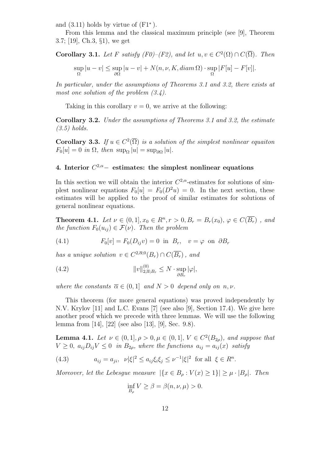and (3.11) holds by virtue of (F1*<sup>∗</sup>* ).

From this lemma and the classical maximum principle (see [9], Theorem 3.7; [19], Ch.3, *§*1), we get

**Corollary 3.1.** Let F satisfy 
$$
(F0)-(F2)
$$
, and let  $u, v \in C^2(\Omega) \cap C(\overline{\Omega})$ . Then  
\n
$$
\sup_{\Omega} |u - v| \le \sup_{\partial \Omega} |u - v| + N(n, \nu, K, diam \Omega) \cdot \sup_{\Omega} |F[u] - F[v]|.
$$

*In particular, under the assumptions of Theorems 3.1 and 3.2, there exists at most one solution of the problem (3.4).*

Taking in this corollary  $v = 0$ , we arrive at the following:

**Corollary 3.2.** *Under the assumptions of Theorems 3.1 and 3.2, the estimate (3.5) holds.*

**Corollary 3.3.** *If*  $u \in C^2(\overline{\Omega})$  *is a solution of the simplest nonlinear equaiton*  $F_0[u] = 0$  *in*  $\Omega$ *, then* sup<sub> $\Omega$ </sub> |*u*| = sup<sub>∂ $\Omega$ </sub> |*u*|*.* 

# **4. Interior** *C* <sup>2</sup>*,α−* **estimates: the simplest nonlinear equations**

In this section we will obtain the interior  $C^{2,\alpha}$ -estimates for solutions of simplest nonlinear equations  $F_0[u] = F_0(D^2u) = 0$ . In the next section, these estimates will be applied to the proof of similar estimates for solutions of general nonlinear equations.

**Theorem 4.1.** *Let*  $\nu \in (0,1], x_0 \in R^n, r > 0, B_r = B_r(x_0), \varphi \in C(\overline{B_r})$ , and *the function*  $F_0(u_{ij}) \in \mathcal{F}(\nu)$ *. Then the problem* 

(4.1) 
$$
F_0[v] = F_0(D_{ij}v) = 0 \text{ in } B_r, \quad v = \varphi \text{ on } \partial B_r
$$

*has a unique solution*  $v \in C^{2,\overline{\alpha},0}(B_r) \cap C(\overline{B_r})$ , and

(4.2) 
$$
||v||_{2,\overline{\alpha};B_r}^{(0)} \leq N \cdot \sup_{\partial B_r} |\varphi|,
$$

*where the constants*  $\overline{\alpha} \in (0,1]$  *and*  $N > 0$  *depend only on n, v.* 

This theorem (for more general equations) was proved independently by N.V. Krylov [11] and L.C. Evans [7] (see also [9], Section 17.4). We give here another proof which we precede with three lemmas. We will use the following lemma from [14], [22] (see also [13], [9], Sec. 9.8).

**Lemma 4.1.** *Let*  $\nu \in (0,1], \rho > 0, \mu \in (0,1], V \in C^2(B_{2\rho})$ *, and suppose that*  $V \geq 0$ ,  $a_{ij}D_{ij}V \leq 0$  *in*  $B_{2\rho}$ *, where the functions*  $a_{ij} = a_{ij}(x)$  *satisfy* 

(4.3) 
$$
a_{ij} = a_{ji}, \quad \nu |\xi|^2 \le a_{ij} \xi_i \xi_j \le \nu^{-1} |\xi|^2 \text{ for all } \xi \in R^n.
$$

*Moreover, let the Lebesgue measure*  $|\{x \in B_\rho : V(x) \ge 1\}| \ge \mu \cdot |B_\rho|$ *. Then* 

$$
\inf_{B_{\rho}} V \ge \beta = \beta(n, \nu, \mu) > 0.
$$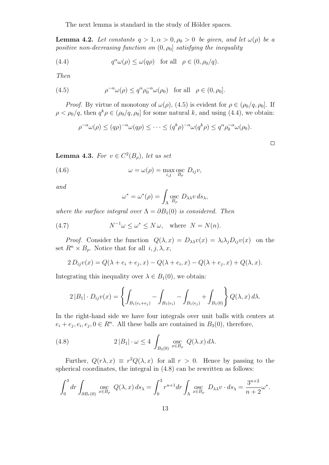The next lemma is standard in the study of Hölder spaces.

**Lemma 4.2.** *Let constants*  $q > 1, \alpha > 0, \rho_0 > 0$  *be given, and let*  $\omega(\rho)$  *be a positive non-decreasing function on*  $(0, \rho_0]$  *satisfying the inequality* 

(4.4) 
$$
q^{\alpha} \omega(\rho) \leq \omega(q\rho) \text{ for all } \rho \in (0, \rho_0/q).
$$

*Then*

(4.5) 
$$
\rho^{-\alpha}\omega(\rho) \leq q^{\alpha}\rho_0^{-\alpha}\omega(\rho_0) \text{ for all } \rho \in (0, \rho_0].
$$

*Proof.* By virtue of monotony of  $\omega(\rho)$ , (4.5) is evident for  $\rho \in (\rho_0/q, \rho_0]$ . If  $\rho < \rho_0/q$ , then  $q^k \rho \in (\rho_0/q, \rho_0]$  for some natural *k*, and using (4.4), we obtain:

$$
\rho^{-\alpha}\omega(\rho) \le (q\rho)^{-\alpha}\omega(q\rho) \le \cdots \le (q^k\rho)^{-\alpha}\omega(q^k\rho) \le q^{\alpha}\rho_0^{-\alpha}\omega(\rho_0).
$$

 $\Box$ 

**Lemma 4.3.** *For*  $v \in C^2(B_\rho)$ *, let us set* 

(4.6) 
$$
\omega = \omega(\rho) = \max_{i,j} \operatorname*{osc}_{B_{\rho}} D_{ij} v,
$$

*and*

$$
\omega^* = \omega^*(\rho) = \int_{\Lambda} \underset{B_{\rho}}{\mathrm{osc}} D_{\lambda\lambda} v \, ds_{\lambda},
$$

*where the surface integral over*  $\Lambda = \partial B_1(0)$  *is considered. Then* 

(4.7) 
$$
N^{-1}\omega \le \omega^* \le N \omega, \text{ where } N = N(n).
$$

*Proof.* Consider the function  $Q(\lambda, x) = D_{\lambda\lambda}v(x) = \lambda_i\lambda_jD_{ij}v(x)$  on the set  $R^n \times B_\rho$ . Notice that for all  $i, j, \lambda, x$ ,

$$
2 D_{ij} v(x) = Q(\lambda + e_i + e_j, x) - Q(\lambda + e_i, x) - Q(\lambda + e_j, x) + Q(\lambda, x).
$$

Integrating this inequality over  $\lambda \in B_1(0)$ , we obtain:

$$
2|B_1| \cdot D_{ij}v(x) = \left\{ \int_{B_1(e_i+e_j)} - \int_{B_1(e_i)} - \int_{B_1(e_j)} + \int_{B_1(0)} \right\} Q(\lambda, x) d\lambda.
$$

In the right-hand side we have four integrals over unit balls with centers at  $e_i + e_j, e_i, e_j, 0 \in R^n$ . All these balls are contained in  $B_3(0)$ , therefore,

(4.8) 
$$
2|B_1|\cdot\omega \le 4 \int_{B_3(0)} \operatorname*{osc}_{x\in B_\rho} Q(\lambda x) d\lambda.
$$

Further,  $Q(r\lambda, x) \equiv r^2 Q(\lambda, x)$  for all  $r > 0$ . Hence by passing to the spherical coordinates, the integral in (4.8) can be rewritten as follows:

$$
\int_0^3 dr \int_{\partial B_r(0)} \underset{x \in B_\rho}{\text{osc}} Q(\lambda, x) \, ds_\lambda = \int_0^3 r^{n+1} dr \int_\Lambda \underset{x \in B_\rho}{\text{osc}} D_{\lambda \lambda} v \cdot ds_\lambda = \frac{3^{n+2}}{n+2} \omega^*.
$$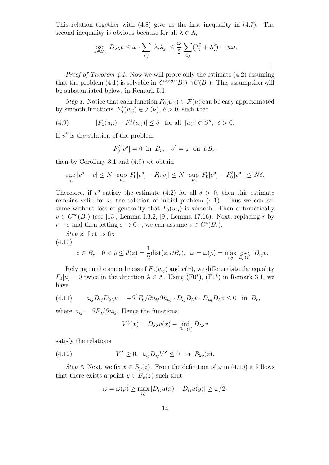This relation together with  $(4.8)$  give us the first inequality in  $(4.7)$ . The second inequality is obvious because for all  $\lambda \in \Lambda$ ,

$$
\underset{x \in B_{\rho}}{\mathrm{osc}} D_{\lambda\lambda}v \leq \omega \cdot \sum_{i,j} |\lambda_i\lambda_j| \leq \frac{\omega}{2} \sum_{i,j} (\lambda_i^2 + \lambda_j^2) = n\omega.
$$

 $\Box$ 

*Proof of Theorem 4.1.* Now we will prove only the estimate  $(4.2)$  assuming that the problem (4.1) is solvable in  $C^{2,\overline{\alpha};0}(B_r) \cap C(\overline{B_r})$ . This assumption will be substantiated below, in Remark 5.1.

*Step 1*. Notice that each function  $F_0(u_{ij}) \in \mathcal{F}(\nu)$  can be easy approximated by smooth functions  $F_0^{\delta}(u_{ij}) \in \mathcal{F}(\nu), \delta > 0$ , such that

(4.9) 
$$
|F_0(u_{ij}) - F_0^{\delta}(u_{ij})| \le \delta
$$
 for all  $[u_{ij}] \in S^n$ ,  $\delta > 0$ .

If  $v^{\delta}$  is the solution of the problem

$$
F_0^{\delta}[v^{\delta}] = 0
$$
 in  $B_r$ ,  $v^{\delta} = \varphi$  on  $\partial B_r$ ,

then by Corollary 3.1 and (4.9) we obtain

$$
\sup_{B_r} |v^{\delta} - v| \le N \cdot \sup_{B_r} |F_0[v^{\delta}] - F_0[v]| \le N \cdot \sup_{B_r} |F_0[v^{\delta}] - F_0^{\delta}[v^{\delta}]| \le N\delta.
$$

Therefore, if  $v^{\delta}$  satisfy the estimate (4.2) for all  $\delta > 0$ , then this estimate remains valid for  $v$ , the solution of initial problem  $(4.1)$ . Thus we can assume without loss of generality that  $F_0(u_{ij})$  is smooth. Then automatically *v ∈ C <sup>∞</sup>*(*Br*) (see [13], Lemma I.3.2; [9], Lemma 17.16). Next, replacing *r* by *r* − *ε* and then letting  $\varepsilon \to 0^+$ , we can assume  $v \in C^4(\overline{B_r})$ .

*Step 2*. Let us fix

$$
(4.10)
$$

$$
z \in B_r, \ \ 0 < \rho \le d(z) = \frac{1}{2} \text{dist}(z, \partial B_r), \ \ \omega = \omega(\rho) = \max_{i,j} \operatorname*{osc}_{B_\rho(z)} D_{ij} v.
$$

Relying on the smoothness of  $F_0(u_{ij})$  and  $v(x)$ , we differentiate the equality  $F_0[u] = 0$  twice in the direction  $\lambda \in \Lambda$ . Using (F0<sup>\*</sup>), (F1<sup>\*</sup>) in Remark 3.1, we have

(4.11) 
$$
a_{ij}D_{ij}D_{\lambda\lambda}v = -\partial^2 F_0/\partial u_{ij}\partial u_{pq} \cdot D_{ij}D_{\lambda}v \cdot D_{pq}D_{\lambda}v \le 0 \text{ in } B_r,
$$

where  $a_{ij} = \partial F_0 / \partial u_{ij}$ . Hence the functions

$$
V^{\lambda}(x) = D_{\lambda\lambda}v(x) - \inf_{B_{2\rho}(z)} D_{\lambda\lambda}v
$$

satisfy the relations

(4.12) 
$$
V^{\lambda} \geq 0, \quad a_{ij} D_{ij} V^{\lambda} \leq 0 \quad \text{in} \quad B_{2\rho}(z).
$$

*Step 3*. Next, we fix  $x \in B_\rho(z)$ . From the definition of  $\omega$  in (4.10) it follows that there exists a point  $y \in \overline{B_{\rho}(z)}$  such that

$$
\omega = \omega(\rho) \ge \max_{i,j} |D_{ij}u(x) - D_{ij}u(y)| \ge \omega/2.
$$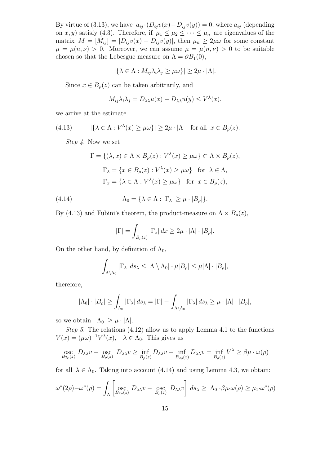By virtue of (3.13), we have  $\overline{a}_{ij} \cdot (D_{ij}v(x) - D_{ij}v(y)) = 0$ , where  $\overline{a}_{ij}$  (depending on *x, y*) satisfy (4.3). Therefore, if  $\mu_1 \leq \mu_2 \leq \cdots \leq \mu_n$  are eigenvalues of the matrix  $M = [M_{ij}] = [D_{ij}v(x) - D_{ij}v(y)]$ , then  $\mu_n \geq 2\mu\omega$  for some constant  $\mu = \mu(n, \nu) > 0$ . Moreover, we can assume  $\mu = \mu(n, \nu) > 0$  to be suitable chosen so that the Lebesgue measure on  $\Lambda = \partial B_1(0)$ ,

$$
|\{\lambda \in \Lambda : M_{ij}\lambda_i\lambda_j \ge \mu\omega\}| \ge 2\mu \cdot |\Lambda|.
$$

Since  $x \in B_\rho(z)$  can be taken arbitrarily, and

$$
M_{ij}\lambda_i\lambda_j = D_{\lambda\lambda}u(x) - D_{\lambda\lambda}u(y) \leq V^{\lambda}(x),
$$

we arrive at the estimate

(4.13) 
$$
|\{\lambda \in \Lambda : V^{\lambda}(x) \ge \mu \omega\}| \ge 2\mu \cdot |\Lambda| \text{ for all } x \in B_{\rho}(z).
$$

*Step 4*. Now we set

$$
\Gamma = \{ (\lambda, x) \in \Lambda \times B_{\rho}(z) : V^{\lambda}(x) \ge \mu \omega \} \subset \Lambda \times B_{\rho}(z),
$$
  

$$
\Gamma_{\lambda} = \{ x \in B_{\rho}(z) : V^{\lambda}(x) \ge \mu \omega \} \text{ for } \lambda \in \Lambda,
$$
  

$$
\Gamma_{x} = \{ \lambda \in \Lambda : V^{\lambda}(x) \ge \mu \omega \} \text{ for } x \in B_{\rho}(z),
$$

(4.14) 
$$
\Lambda_0 = \{ \lambda \in \Lambda : |\Gamma_{\lambda}| \ge \mu \cdot |B_{\rho}| \}.
$$

By (4.13) and Fubini's theorem, the product-measure on  $\Lambda \times B_{\rho}(z)$ ,

$$
|\Gamma| = \int_{B_{\rho}(z)} |\Gamma_x| \, dx \ge 2\mu \cdot |\Lambda| \cdot |B_{\rho}|.
$$

On the other hand, by definition of  $\Lambda_0$ ,

$$
\int_{\Lambda \backslash \Lambda_0} |\Gamma_\lambda| \, ds_\lambda \leq |\Lambda \setminus \Lambda_0| \cdot \mu |B_\rho| \leq \mu |\Lambda| \cdot |B_\rho|,
$$

therefore,

$$
|\Lambda_0| \cdot |B_\rho| \ge \int_{\Lambda_0} |\Gamma_\lambda| \, ds_\lambda = |\Gamma| - \int_{\Lambda \setminus \Lambda_0} |\Gamma_\lambda| \, ds_\lambda \ge \mu \cdot |\Lambda| \cdot |B_\rho|,
$$

so we obtain  $|\Lambda_0| \geq \mu \cdot |\Lambda|$ .

*Step 5*. The relations (4.12) allow us to apply Lemma 4.1 to the functions  $V(x) = (\mu\omega)^{-1}V^{\lambda}(x), \quad \lambda \in \Lambda_0$ . This gives us

$$
\underset{B_{2\rho}(z)}{\text{osc}} D_{\lambda\lambda}v - \underset{B_{\rho}(z)}{\text{osc}} D_{\lambda\lambda}v \ge \inf_{B_{\rho}(z)} D_{\lambda\lambda}v - \inf_{B_{2\rho}(z)} D_{\lambda\lambda}v = \inf_{B_{\rho}(z)} V^{\lambda} \ge \beta\mu \cdot \omega(\rho)
$$

for all  $\lambda \in \Lambda_0$ . Taking into account (4.14) and using Lemma 4.3, we obtain:

$$
\omega^*(2\rho) - \omega^*(\rho) = \int_{\Lambda} \left[ \operatorname*{osc}_{B_{2\rho}(z)} D_{\lambda\lambda} v - \operatorname*{osc}_{B_{\rho}(z)} D_{\lambda\lambda} v \right] ds_{\lambda} \ge |\Lambda_0| \cdot \beta \mu \cdot \omega(\rho) \ge \mu_1 \cdot \omega^*(\rho)
$$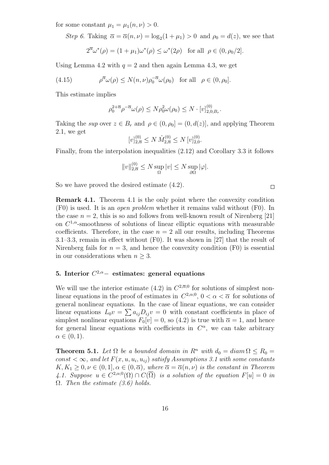for some constant  $\mu_1 = \mu_1(n, \nu) > 0$ .

*Step 6*. Taking  $\overline{\alpha} = \overline{\alpha}(n, \nu) = \log_2(1 + \mu_1) > 0$  and  $\rho_0 = d(z)$ , we see that

$$
2^{\overline{\alpha}}\omega^*(\rho) = (1 + \mu_1)\omega^*(\rho) \le \omega^*(2\rho) \quad \text{for all} \ \rho \in (0, \rho_0/2].
$$

Using Lemma 4.2 with  $q = 2$  and then again Lemma 4.3, we get

(4.15) 
$$
\rho^{\overline{\alpha}}\omega(\rho) \le N(n,\nu)\rho_0^{-\overline{\alpha}}\omega(\rho_0) \text{ for all } \rho \in (0,\rho_0].
$$

This estimate implies

$$
\rho_0^{2+\overline{\alpha}}\rho^{-\overline{\alpha}}\omega(\rho) \le N\rho_0^2\omega(\rho_0) \le N \cdot [v]_{2,0;B_r}^{(0)}.
$$

Taking the *sup* over  $z \in B_r$  and  $\rho \in (0, \rho_0] = (0, d(z))$ , and applying Theorem 2.1, we get

$$
[v]_{2,\overline{\alpha}}^{(0)} \le N \hat{M}_{2,\overline{\alpha}}^{(0)} \le N [v]_{2,0}^{(0)}.
$$

Finally, from the interpolation inequalities (2.12) and Corollary 3.3 it follows

$$
||v||_{2,\overline{\alpha}}^{(0)} \le N \sup_{\Omega} |v| \le N \sup_{\partial \Omega} |\varphi|.
$$

So we have proved the desired estimate (4.2).

**Remark 4.1.** Theorem 4.1 is the only point where the convexity condition (F0) is used. It is an *open problem* whether it remains valid without (F0). In the case  $n = 2$ , this is so and follows from well-known result of Nirenberg [21] on  $C^{1,\alpha}$ -smoothness of solutions of linear elliptic equations with measurable coefficients. Therefore, in the case  $n = 2$  all our results, including Theorems 3.1–3.3, remain in effect without (F0). It was shown in [27] that the result of Nirenberg fails for  $n = 3$ , and hence the convexity condition  $(F0)$  is essential in our considerations when  $n \geq 3$ .

# **5. Interior** *C* <sup>2</sup>*,α−* **estimates: general equations**

We will use the interior estimate  $(4.2)$  in  $C^{2,\overline{\alpha};0}$  for solutions of simplest nonlinear equations in the proof of estimates in  $C^{2,\alpha;0}$ ,  $0 < \alpha < \overline{\alpha}$  for solutions of general nonlinear equations. In the case of linear equations, we can consider linear equations  $L_0 v = \sum a_{ij} D_{ij} v = 0$  with constant coefficients in place of simplest nonlinear equations  $F_0[v] = 0$ , so (4.2) is true with  $\overline{\alpha} = 1$ , and hence for general linear equations with coefficients in  $C^{\alpha}$ , we can take arbitrary  $\alpha \in (0, 1)$ .

**Theorem 5.1.** *Let*  $\Omega$  *be a bounded domain in*  $R^n$  *with*  $d_0 = diam \Omega \leq R_0$  $const < \infty$ , and let  $F(x, u, u_i, u_{ij})$  satisfy Assumptions 3.1 with some constants  $K, K_1 \geq 0, \nu \in (0, 1], \alpha \in (0, \overline{\alpha}),$  where  $\overline{\alpha} = \overline{\alpha}(n, \nu)$  *is the constant in Theorem* 4.1. Suppose  $u \in C^{2,\alpha;0}(\Omega) \cap C(\overline{\Omega})$  *is a solution of the equation*  $F[u] = 0$  *in* Ω*. Then the estimate (3.6) holds.*

 $\Box$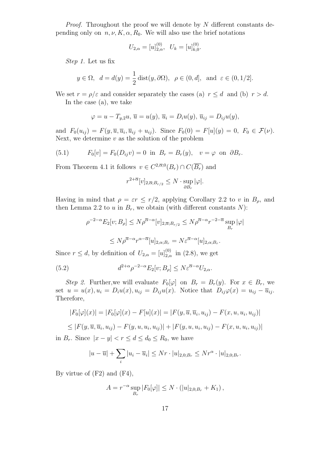*Proof.* Throughout the proof we will denote by *N* different constants depending only on  $n, \nu, K, \alpha, R_0$ . We will also use the brief notations

$$
U_{2,\alpha} = [u]_{2,\alpha}^{(0)}, \ \ U_k = [u]_{k,0}^{(0)}.
$$

*Step 1.* Let us fix

$$
y \in \Omega
$$
,  $d = d(y) = \frac{1}{2} \text{dist}(y, \partial \Omega)$ ,  $\rho \in (0, d]$ , and  $\varepsilon \in (0, 1/2]$ .

We set  $r = \rho/\varepsilon$  and consider separately the cases (a)  $r \leq d$  and (b)  $r > d$ . In the case (a), we take

$$
\varphi = u - T_{y,2}u, \overline{u} = u(y), \overline{u}_i = D_i u(y), \overline{u}_{ij} = D_{ij}u(y),
$$

and  $F_0(u_{ij}) = F(y, \overline{u}, \overline{u}_i, \overline{u}_{ij} + u_{ij})$ . Since  $F_0(0) = F[u](y) = 0, F_0 \in \mathcal{F}(\nu)$ . Next, we determine *v* as the solution of the problem

(5.1) 
$$
F_0[v] = F_0(D_{ij}v) = 0
$$
 in  $B_r = B_r(y)$ ,  $v = \varphi$  on  $\partial B_r$ .

From Theorem 4.1 it follows  $v \in C^{2,\overline{\alpha};0}(B_r) \cap C(\overline{B_r})$  and

$$
r^{2+\overline{\alpha}}[v]_{2,\overline{\alpha};B_{r/2}} \leq N \cdot \sup_{\partial B_r} |\varphi|.
$$

Having in mind that  $\rho = \varepsilon r \leq r/2$ , applying Corollary 2.2 to *v* in  $B_{\rho}$ , and then Lemma 2.2 to  $u$  in  $B_r$ , we obtain (with different constants  $N$ ):

$$
\rho^{-2-\alpha} E_2[v; B_\rho] \le N \rho^{\overline{\alpha}-\alpha} [v]_{2,\overline{\alpha};B_{r/2}} \le N \rho^{\overline{\alpha}-\alpha} r^{-2-\overline{\alpha}} \sup_{B_r} |\varphi|
$$
  

$$
\le N \rho^{\overline{\alpha}-\alpha} r^{\alpha-\overline{\alpha}} [u]_{2,\alpha;B_r} = N \varepsilon^{\overline{\alpha}-\alpha} [u]_{2,\alpha;B_r}.
$$

Since  $r \leq d$ , by definition of  $U_{2,\alpha} = [u]_{2,\alpha}^{(0)}$  in (2.8), we get

(5.2) 
$$
d^{2+\alpha} \rho^{-2-\alpha} E_2[v; B_\rho] \le N \varepsilon^{\overline{\alpha}-\alpha} U_{2,\alpha}.
$$

*Step 2.* Further, we will evaluate  $F_0[\varphi]$  on  $B_r = B_r(y)$ . For  $x \in B_r$ , we set  $u = u(x), u_i = D_i u(x), u_{ij} = D_{ij} u(x)$ . Notice that  $D_{ij} \varphi(x) = u_{ij} - \overline{u}_{ij}$ . Therefore,

$$
|F_0[\varphi](x)| = |F_0[\varphi](x) - F[u](x)| = |F(y, \overline{u}, \overline{u}_i, u_{ij}) - F(x, u, u_i, u_{ij})|
$$
  
\n
$$
\leq |F(y, \overline{u}, \overline{u}_i, u_{ij}) - F(y, u, u_i, u_{ij})| + |F(y, u, u_i, u_{ij}) - F(x, u, u_i, u_{ij})|
$$

in  $B_r$ . Since  $|x - y| < r \le d \le d_0 \le R_0$ , we have

$$
|u - \overline{u}| + \sum_{i} |u_i - \overline{u}_i| \leq Nr \cdot |u|_{2,0;B_r} \leq Nr^{\alpha} \cdot |u|_{2,0;B_r}.
$$

By virtue of (F2) and (F4),

$$
A = r^{-\alpha} \sup_{B_r} |F_0[\varphi]| \le N \cdot (|u|_{2,0;B_r} + K_1),
$$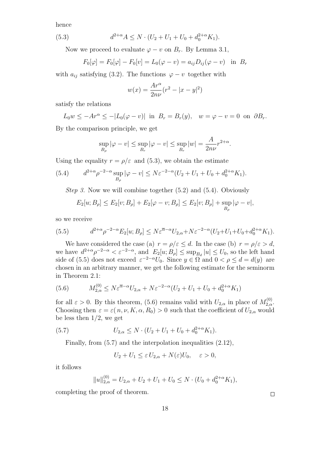hence

(5.3) 
$$
d^{2+\alpha}A \leq N \cdot (U_2 + U_1 + U_0 + d_0^{2+\alpha} K_1).
$$

Now we proceed to evaluate  $\varphi - v$  on  $B_r$ . By Lemma 3.1,

$$
F_0[\varphi] = F_0[\varphi] - F_0[v] = L_0(\varphi - v) = a_{ij}D_{ij}(\varphi - v)
$$
 in  $B_r$ 

with  $a_{ij}$  satisfying (3.2). The functions  $\varphi - v$  together with

$$
w(x) = \frac{Ar^{\alpha}}{2n\nu}(r^{2} - |x - y|^{2})
$$

satisfy the relations

$$
L_0 w \le -Ar^{\alpha} \le -|L_0(\varphi - v)| \text{ in } B_r = B_r(y), \quad w = \varphi - v = 0 \text{ on } \partial B_r.
$$

By the comparison principle, we get

$$
\sup_{B_{\rho}} |\varphi - v| \le \sup_{B_r} |\varphi - v| \le \sup_{B_r} |w| = \frac{A}{2n\nu} r^{2+\alpha}.
$$

Using the equality  $r = \rho/\varepsilon$  and (5.3), we obtain the estimate

(5.4) 
$$
d^{2+\alpha} \rho^{-2-\alpha} \sup_{B_{\rho}} |\varphi - v| \le N \varepsilon^{-2-\alpha} (U_2 + U_1 + U_0 + d_0^{2+\alpha} K_1).
$$

*Step 3.* Now we will combine together (5.2) and (5.4). Obviously

$$
E_2[u; B_{\rho}] \le E_2[v; B_{\rho}] + E_2[\varphi - v; B_{\rho}] \le E_2[v; B_{\rho}] + \sup_{B_{\rho}} |\varphi - v|,
$$

so we receive

(5.5) 
$$
d^{2+\alpha} \rho^{-2-\alpha} E_2[u; B_\rho] \leq N \varepsilon^{\overline{\alpha}-\alpha} U_{2,\alpha} + N \varepsilon^{-2-\alpha} (U_2 + U_1 + U_0 + d_0^{2+\alpha} K_1).
$$

We have considered the case (a)  $r = \rho/\varepsilon \leq d$ . In the case (b)  $r = \rho/\varepsilon > d$ , we have  $d^{2+\alpha}\rho^{-2-\alpha} < \varepsilon^{-2-\alpha}$ , and  $E_2[u;B_\rho] \leq \sup_{B_d}|u| \leq U_0$ , so the left hand side of (5.5) does not exceed  $\varepsilon^{-2-\alpha}U_0$ . Since  $y \in \Omega$  and  $0 < \rho \leq d = d(y)$  are chosen in an arbitrary manner, we get the following estimate for the seminorm in Theorem 2.1:

(5.6) 
$$
M_{2,\alpha}^{(0)} \le N \varepsilon^{\overline{\alpha}-\alpha} U_{2,\alpha} + N \varepsilon^{-2-\alpha} (U_2 + U_1 + U_0 + d_0^{2+\alpha} K_1)
$$

for all  $\varepsilon > 0$ . By this theorem, (5.6) remains valid with  $U_{2,\alpha}$  in place of  $M_{2,\alpha}^{(0)}$ . Choosing then  $\varepsilon = \varepsilon(n, \nu, K, \alpha, R_0) > 0$  such that the coefficient of  $U_{2,\alpha}$  would be less then 1*/*2, we get

(5.7) 
$$
U_{2,\alpha} \leq N \cdot (U_2 + U_1 + U_0 + d_0^{2+\alpha} K_1).
$$

Finally, from  $(5.7)$  and the interpolation inequalities  $(2.12)$ ,

$$
U_2 + U_1 \le \varepsilon U_{2,\alpha} + N(\varepsilon)U_0, \quad \varepsilon > 0,
$$

it follows

$$
||u||_{2,\alpha}^{(0)} = U_{2,\alpha} + U_2 + U_1 + U_0 \le N \cdot (U_0 + d_0^{2+\alpha} K_1),
$$

completing the proof of theorem.

 $\Box$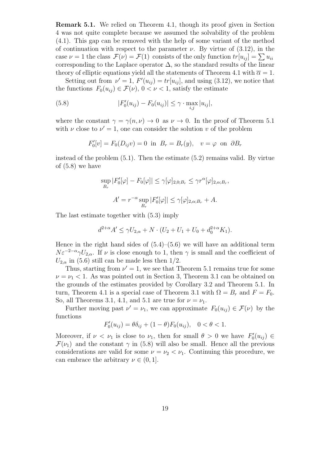**Remark 5.1.** We relied on Theorem 4.1, though its proof given in Section 4 was not quite complete because we assumed the solvability of the problem (4.1). This gap can be removed with the help of some variant of the method of continuation with respect to the parameter  $\nu$ . By virtue of (3.12), in the case  $\nu = 1$  the class  $\mathcal{F}(\nu) = \mathcal{F}(1)$  consists of the only function  $tr[u_{ij}] = \sum u_{ii}$ corresponding to the Laplace operator  $\Delta$ , so the standard results of the linear theory of elliptic equations yield all the statements of Theorem 4.1 with  $\overline{\alpha} = 1$ .

Setting out from  $\nu' = 1$ ,  $F'(u_{ij}) = tr[u_{ij}]$ , and using (3.12), we notice that the functions  $F_0(u_{ij}) \in \mathcal{F}(\nu)$ ,  $0 < \nu < 1$ , satisfy the estimate

(5.8) 
$$
|F_0'(u_{ij}) - F_0(u_{ij})| \leq \gamma \cdot \max_{i,j} |u_{ij}|,
$$

where the constant  $\gamma = \gamma(n, \nu) \rightarrow 0$  as  $\nu \rightarrow 0$ . In the proof of Theorem 5.1 with  $\nu$  close to  $\nu' = 1$ , one can consider the solution  $\nu$  of the problem

$$
F_0'[v] = F_0(D_{ij}v) = 0 \text{ in } B_r = B_r(y), v = \varphi \text{ on } \partial B_r
$$

instead of the problem (5.1). Then the estimate (5.2) remains valid. By virtue of (5.8) we have

$$
\sup_{B_r} |F'_0[\varphi] - F_0[\varphi]| \le \gamma[\varphi]_{2,0;B_r} \le \gamma r^{\alpha}[\varphi]_{2,\alpha;B_r},
$$
  

$$
A' = r^{-\alpha} \sup_{B_r} |F'_0[\varphi]| \le \gamma[\varphi]_{2,\alpha;B_r} + A.
$$

The last estimate together with (5.3) imply

$$
d^{2+\alpha}A' \le \gamma U_{2,\alpha} + N \cdot (U_2 + U_1 + U_0 + d_0^{2+\alpha} K_1).
$$

Hence in the right hand sides of  $(5.4)$ – $(5.6)$  we will have an additional term  $N\varepsilon^{-2-\alpha}\gamma U_{2,\alpha}$ . If *ν* is close enough to 1, then  $\gamma$  is small and the coefficient of  $U_{2,\alpha}$  in (5.6) still can be made less then 1/2.

Thus, starting from  $\nu' = 1$ , we see that Theorem 5.1 remains true for some  $\nu = \nu_1 < 1$ . As was pointed out in Section 3, Theorem 3.1 can be obtained on the grounds of the estimates provided by Corollary 3.2 and Theorem 5.1. In turn, Theorem 4.1 is a special case of Theorem 3.1 with  $\Omega = B_r$  and  $F = F_0$ . So, all Theorems 3.1, 4.1, and 5.1 are true for  $\nu = \nu_1$ .

Further moving past  $\nu' = \nu_1$ , we can approximate  $F_0(u_{ij}) \in \mathcal{F}(\nu)$  by the functions

$$
F_0'(u_{ij}) = \theta \delta_{ij} + (1 - \theta) F_0(u_{ij}), \quad 0 < \theta < 1.
$$

Moreover, if  $\nu < \nu_1$  is close to  $\nu_1$ , then for small  $\theta > 0$  we have  $F'_0(u_{ij}) \in$  $\mathcal{F}(\nu_1)$  and the constant  $\gamma$  in (5.8) will also be small. Hence all the previous considerations are valid for some  $\nu = \nu_2 < \nu_1$ . Continuing this procedure, we can embrace the arbitrary  $\nu \in (0, 1]$ .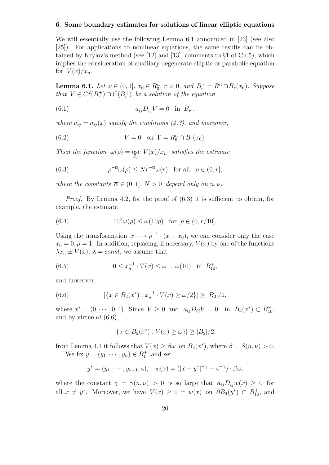#### **6. Some boundary estimates for solutions of linear elliptic equations**

We will essentially use the following Lemma 6.1 announced in [23] (see also [25]). For applications to nonlinear equations, the same results can be obtained by Krylov's method (see [12] and [13], comments to *§*1 of Ch.5), which implies the consideration of auxiliary degenerate elliptic or parabolic equation for  $V(x)/x_n$ .

**Lemma 6.1.** *Let*  $\nu \in (0,1]$ *,*  $x_0 \in R_0^n$ *,*  $r > 0$ *,* and  $B_r^+ = R_+^n \cap B_r(x_0)$ *. Suppose that*  $V \in C^2(B_r^+) \cap C(\overline{B_r^+})$  *be a solution of the equation* 

(6.1) 
$$
a_{ij}D_{ij}V = 0 \text{ in } B_r^+,
$$

*where*  $a_{ij} = a_{ij}(x)$  *satisfy the conditions* (4.3), and moreover,

(6.2) 
$$
V = 0 \quad \text{on } \Gamma = R_0^n \cap B_r(x_0).
$$

*Then the function*  $\omega(\rho) = \underset{B_{\rho}^+}{\text{osc}} V(x)/x_n$  *satisfies the estimate* 

(6.3) 
$$
\rho^{-\overline{\alpha}}\omega(\rho) \leq N r^{-\overline{\alpha}}\omega(r) \text{ for all } \rho \in (0, r],
$$

*where the constants*  $\overline{\alpha} \in (0,1], N > 0$  *depend only on n, v.* 

*Proof.* By Lemma 4.2, for the proof of  $(6.3)$  it is sufficient to obtain, for example, the estimate

(6.4) 
$$
10^{\overline{\alpha}}\omega(\rho) \le \omega(10\rho) \text{ for } \rho \in (0, r/10].
$$

Using the transformation  $x \rightarrow \rho^{-1} \cdot (x - x_0)$ , we can consider only the case  $x_0 = 0, \rho = 1$ . In addition, replacing, if necessary,  $V(x)$  by one of the functions  $\lambda x_n \pm V(x)$ ,  $\lambda = const$ , we assume that

(6.5) 
$$
0 \le x_n^{-1} \cdot V(x) \le \omega = \omega(10) \text{ in } B_{10}^+,
$$

and moreover,

(6.6) 
$$
|\{x \in B_2(x^*) : x_n^{-1} \cdot V(x) \ge \omega/2\}| \ge |B_2|/2,
$$

where  $x^* = (0, \dots, 0, 4)$ . Since  $V \ge 0$  and  $a_{ij}D_{ij}V = 0$  in  $B_4(x^*) \subset B_{10}^+$ , and by virtue of (6.6),

$$
|\{x \in B_2(x^*) : V(x) \ge \omega\}| \ge |B_2|/2,
$$

from Lemma 4.1 it follows that  $V(x) \ge \beta \omega$  on  $B_2(x^*)$ , where  $\beta = \beta(n, \nu) > 0$ .

We fix  $y = (y_1, \dots, y_n) \in B_1^+$  and set

$$
y^* = (y_1, \dots, y_{n-1}, 4), \quad w(x) = (|x - y^*|^{-\gamma} - 4^{-\gamma}) \cdot \beta \omega,
$$

where the constant  $\gamma = \gamma(n, \nu) > 0$  is so large that  $a_{ij}D_{ij}w(x) \geq 0$  for all  $x \neq y^*$ . Moreover, we have  $V(x) \geq 0 = w(x)$  on  $\partial B_4(y^*) \subset B_{10}^+$ , and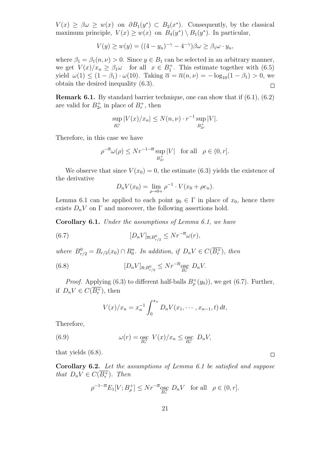$V(x) \geq \beta \omega \geq w(x)$  on  $\partial B_1(y^*) \subset B_2(x^*)$ . Consequently, by the classical maximum principle,  $V(x) \geq w(x)$  on  $B_4(y^*) \setminus B_1(y^*)$ . In particular,

$$
V(y) \ge w(y) = ((4 - y_n)^{-\gamma} - 4^{-\gamma})\beta \omega \ge \beta_1 \omega \cdot y_n,
$$

where  $\beta_1 = \beta_1(n, \nu) > 0$ . Since  $y \in B_1$  can be selected in an arbitrary manner, we get  $V(x)/x_n \ge \beta_1 \omega$  for all  $x \in B_1^+$ . This estimate together with (6.5) yield  $\omega(1) \leq (1 - \beta_1) \cdot \omega(10)$ . Taking  $\overline{\alpha} = \overline{\alpha}(n, \nu) = -\log_{10}(1 - \beta_1) > 0$ , we obtain the desired inequality (6.3).  $\Box$ 

**Remark 6.1.** By standard barrier technique, one can show that if  $(6.1)$ ,  $(6.2)$ are valid for  $B_{2r}^+$  in place of  $B_r^+$ , then

$$
\sup_{B_r^+} |V(x)/x_n| \le N(n,\nu) \cdot r^{-1} \sup_{B_{2r}^+} |V|.
$$

Therefore, in this case we have

$$
\rho^{-\overline{\alpha}}\omega(\rho) \leq Nr^{-1-\overline{\alpha}}\sup_{B_{2r}^+}|V| \quad \text{for all} \quad \rho \in (0, r].
$$

We observe that since  $V(x_0) = 0$ , the estimate (6.3) yields the existence of the derivative

$$
D_n V(x_0) = \lim_{\rho \to 0+} \rho^{-1} \cdot V(x_0 + \rho e_n).
$$

Lemma 6.1 can be applied to each point  $y_0 \in \Gamma$  in place of  $x_0$ , hence there exists  $D_n V$  on  $\Gamma$  and moreover, the following assertions hold.

**Corollary 6.1.** *Under the assumptions of Lemma 6.1, we have*

(6.7) 
$$
[D_n V]_{\overline{\alpha}; B_{r/2}^0} \leq N r^{-\overline{\alpha}} \omega(r),
$$

*where*  $B_{r/2}^0 = B_{r/2}(x_0) \cap R_0^n$ . In addition, if  $D_n V \in C(\overline{B_r^+})$ , then

(6.8) 
$$
[D_n V]_{\overline{\alpha}; B_{r/2}^0} \leq N r^{-\overline{\alpha}} \underset{B_r^+}{\text{osc}} D_n V.
$$

*Proof.* Applying (6.3) to different half-balls  $B^+_{\rho}(y_0)$ , we get (6.7). Further, if  $D_n V \in C(\overline{B_r^+})$ , then

$$
V(x)/x_n = x_n^{-1} \int_0^{x_n} D_n V(x_1, \dots, x_{n-1}, t) dt,
$$

Therefore,

(6.9) 
$$
\omega(r) = \underset{B_r^+}{\text{osc}} V(x)/x_n \leq \underset{B_r^+}{\text{osc}} D_n V,
$$

that yields (6.8).

**Corollary 6.2.** *Let the assumptions of Lemma 6.1 be satisfied and suppose that*  $D_n V \in C(B_r^+)$ *. Then* 

$$
\rho^{-1-\overline{\alpha}} E_1[V; B^+_{\rho}] \leq N r^{-\overline{\alpha}} \underset{B^+}{\text{osc}} D_n V \quad \text{for all} \quad \rho \in (0, r].
$$

 $\Box$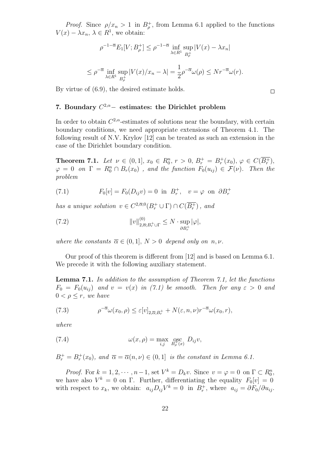*Proof.* Since  $\rho/x_n > 1$  in  $B^+_{\rho}$ , from Lemma 6.1 applied to the functions *V*(*x*) −  $\lambda x_n$ ,  $\lambda \in R^1$ , we obtain:

$$
\rho^{-1-\overline{\alpha}} E_1[V; B_\rho^+] \le \rho^{-1-\overline{\alpha}} \inf_{\lambda \in R^1} \sup_{B_\rho^+} |V(x) - \lambda x_n|
$$
  

$$
\le \rho^{-\overline{\alpha}} \inf_{\lambda \in R^1} \sup_{B_\rho^+} |V(x)/x_n - \lambda| = \frac{1}{2} \rho^{-\overline{\alpha}} \omega(\rho) \le N r^{-\overline{\alpha}} \omega(r).
$$

 $\Box$ 

By virtue of (6.9), the desired estimate holds.

# **7. Boundary** *C* <sup>2</sup>*,α−* **estimates: the Dirichlet problem**

In order to obtain  $C^{2,\alpha}$ -estimates of solutions near the boundary, with certain boundary conditions, we need appropriate extensions of Theorem 4.1. The following result of N.V. Krylov [12] can be treated as such an extension in the case of the Dirichlet boundary condition.

**Theorem 7.1.** Let  $\nu \in (0,1], x_0 \in R_0^n, r > 0, B_r^+ = B_r^+(x_0), \varphi \in C(\overline{B_r^+}),$  $\varphi = 0$  *on*  $\Gamma = R_0^n \cap B_r(x_0)$  *, and the function*  $F_0(u_{ij}) \in \mathcal{F}(\nu)$ *. Then the problem*

(7.1) 
$$
F_0[v] = F_0(D_{ij}v) = 0 \text{ in } B_r^+, \quad v = \varphi \text{ on } \partial B_r^+
$$

*has a unique solution*  $v \in C^{2,\overline{\alpha};0}(B_r^+ \cup \Gamma) \cap C(\overline{B_r^+})$ , and

(7.2) 
$$
||v||_{2,\overline{\alpha};B_r^+\cup\Gamma}^{(0)} \leq N \cdot \sup_{\partial B_r^+} |\varphi|,
$$

*where the constants*  $\overline{\alpha} \in (0,1], N > 0$  *depend only on n,v.* 

Our proof of this theorem is different from [12] and is based on Lemma 6.1. We precede it with the following auxiliary statement.

**Lemma 7.1.** *In addition to the assumption of Theorem 7.1, let the functions*  $F_0 = F_0(u_{ii})$  and  $v = v(x)$  in (7.1) be smooth. Then for any  $\varepsilon > 0$  and  $0 < \rho \leq r$ *, we have* 

(7.3) 
$$
\rho^{-\overline{\alpha}}\omega(x_0,\rho) \leq \varepsilon[v]_{2,\overline{\alpha};B_r^+} + N(\varepsilon,n,\nu)r^{-\overline{\alpha}}\omega(x_0,r),
$$

*where*

(7.4) 
$$
\omega(x,\rho) = \max_{i,j} \operatorname*{osc}_{B_{\rho}^+(x)} D_{ij}v,
$$

$$
B_r^+ = B_r^+(x_0)
$$
, and  $\overline{\alpha} = \overline{\alpha}(n, \nu) \in (0, 1]$  is the constant in Lemma 6.1.

*Proof.* For  $k = 1, 2, \dots, n-1$ , set  $V^k = D_k v$ . Since  $v = \varphi = 0$  on  $\Gamma \subset R_0^n$ , we have also  $V^k = 0$  on  $\Gamma$ . Further, differentiating the equality  $F_0[v] = 0$ with respect to  $x_k$ , we obtain:  $a_{ij}D_{ij}V^k = 0$  in  $B_r^+$ , where  $a_{ij} = \partial F_0 / \partial u_{ij}$ .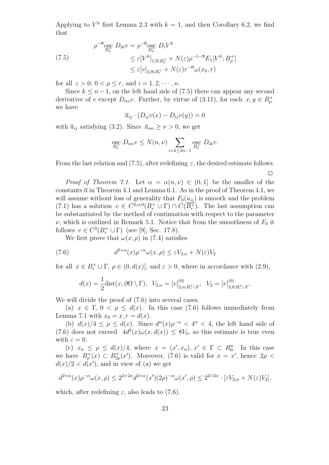Applying to  $V^k$  first Lemma 2.3 with  $k = 1$ , and then Corollary 6.2, we find that

(7.5)  
\n
$$
\rho^{-\overline{\alpha}} \underset{B_{\rho}^{+}}{\text{osc}} D_{ik} v = \rho^{-\overline{\alpha}} \underset{B_{\rho}^{+}}{\text{osc}} D_{i} V^{k}
$$
\n
$$
\leq \varepsilon [V^{k}]_{1, \overline{\alpha}; B_{\rho}^{+}} + N(\varepsilon) \rho^{-1-\overline{\alpha}} E_{1} [V^{k}; B_{\rho}^{+}]
$$
\n
$$
\leq \varepsilon [v]_{2, \overline{\alpha}; B_{r}^{+}} + N(\varepsilon) r^{-\overline{\alpha}} \omega(x_{0}, r)
$$

for all  $\varepsilon > 0$ ,  $0 < \rho \leq r$ , and  $i = 1, 2, \dots, n$ .

Since  $k \leq n-1$ , on the left hand side of (7.5) there can appear any second derivative of *v* except  $D_{nn}v$ . Further, by virtue of (3.11), for each  $x, y \in B_{\rho}^+$ we have

$$
\overline{a}_{ij} \cdot (D_{ij}v(x) - D_{ij}v(y)) = 0
$$

with  $\bar{a}_{ij}$  satisfying (3.2). Since  $\bar{a}_{nn} \geq \nu > 0$ , we get

$$
\underset{B_{\rho}^{+}}{\operatorname{osc}} D_{nn} v \le N(n,\nu) \sum_{i+k \le 2n-1} \underset{B_{\rho}^{+}}{\operatorname{osc}} D_{ik} v.
$$

From the last relation and (7.5), after redefining  $\varepsilon$ , the desired estimate follows.

 $\Box$ 

*Proof of Theorem 7.1.* Let  $\alpha = \alpha(n, \nu) \in (0, 1]$  be the smaller of the constants  $\overline{\alpha}$  in Theorem 4.1 and Lemma 6.1. As in the proof of Theorem 4.1, we will assume without loss of generality that  $F_0(u_{ij})$  is smooth and the problem (7.1) has a solution  $v \in C^{2,\alpha;0}(B_r^+ \cup \Gamma) \cap C(\overline{B_r^+})$ . The last assumption can be substantiated by the method of continuation with respect to the parameter  $\nu$ , which is outlined in Remark 5.1. Notice that from the smoothness of  $F_0$  it follows  $v \in C^3(B_r^+ \cup \Gamma)$  (see [9], Sec. 17.8).

We first prove that  $\omega(x, \rho)$  in (7.4) satisfies

(7.6) 
$$
d^{2+\alpha}(x)\rho^{-\alpha}\omega(x,\rho) \leq \varepsilon V_{2,\alpha} + N(\varepsilon)V_2
$$

for all  $x \in B_r^+ \cup \Gamma$ ,  $\rho \in (0, d(x)]$ , and  $\varepsilon > 0$ , where in accordance with  $(2.9)$ ,

$$
d(x) = \frac{1}{2} \text{dist}(x, \partial \Omega \setminus \Gamma), \ \ V_{2,\alpha} = [v]_{2,\alpha; B_r^+ \cup \Gamma}^{(0)}, \ \ V_2 = [v]_{2,0; B_r^+ \cup \Gamma}^{(0)}.
$$

We will divide the proof of  $(7.6)$  into several cases.

(a)  $x \in \Gamma$ ,  $0 < \rho \leq d(x)$ . In this case (7.6) follows immediately from Lemma 7.1 with  $x_0 = x, r = d(x)$ .

(b)  $d(x)/4 \le \rho \le d(x)$ . Since  $d^{\alpha}(x)\rho^{-\alpha} < 4^{\alpha} < 4$ , the left hand side of (7.6) does not exceed  $4d^2(x)\omega(x, d(x)) \leq 8V_2$ , so this estimate is true even with  $\varepsilon = 0$ .

(c)  $x_n \le \rho \le d(x)/4$ , where  $x = (x', x_n), x' \in \Gamma \subset R_0^n$ . In this case we have  $B_{\rho}^+(x) \subset B_{2\rho}^+(x')$ . Moreover, (7.6) is valid for  $x = x'$ , hence  $2\rho <$  $d(x)/2 < d(x')$ , and in view of (a) we get

$$
d^{2+\alpha}(x)\rho^{-\alpha}\omega(x,\rho) \le 2^{2+2\alpha}d^{2+\alpha}(x')(2\rho)^{-\alpha}\omega(x',\rho) \le 2^{2+2\alpha} \cdot [\varepsilon V_{2,\alpha} + N(\varepsilon)V_2],
$$

which, after redefining  $\varepsilon$ , also leads to (7.6).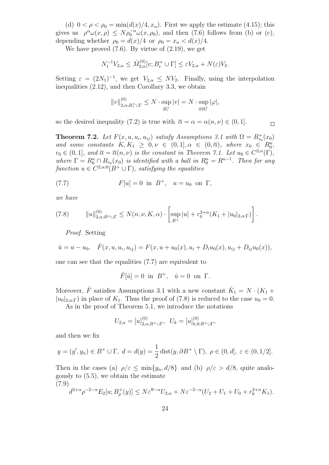(d)  $0 < \rho < \rho_0 = \min(d(x)/4, x_n)$ . First we apply the estimate (4.15); this gives us  $\rho^{\alpha}\omega(x,\rho) \leq N\rho_0^{-\alpha}\omega(x,\rho_0)$ , and then (7.6) follows from (b) or (c), depending whether  $\rho_0 = d(x)/4$  or  $\rho_0 = x_n < d(x)/4$ .

We have proved  $(7.6)$ . By virtue of  $(2.19)$ , we get

$$
N_1^{-1}V_{2,\alpha} \leq \hat{M}_{2,\alpha}^{(0)}[v; B_r^+ \cup \Gamma] \leq \varepsilon V_{2,\alpha} + N(\varepsilon)V_2.
$$

Setting  $\varepsilon = (2N_1)^{-1}$ , we get  $V_{2,\alpha} \leq NV_2$ . Finally, using the interpolation inequalities (2.12), and then Corollary 3.3, we obtain

$$
||v||_{2,\alpha;B_r^+\cup\Gamma}^{(0)} \le N \cdot \sup_{B_r^+} |v| = N \cdot \sup_{\partial B_r^+} |\varphi|,
$$

 $\Box$ 

so the desired inequality (7.2) is true with  $\bar{\alpha} = \alpha = \alpha(n, \nu) \in (0, 1].$ 

**Theorem 7.2.** *Let*  $F(x, u, u_i, u_{ij})$  *satisfy Assumptions 3.1 with*  $\Omega = B_{r_0}^+(x_0)$ *and some constants*  $K, K_1 \geq 0, \nu \in (0, 1], \alpha \in (0, \overline{\alpha})$ *, where*  $x_0 \in R_0^n$ *,*  $r_0 \in (0,1]$ *, and*  $\overline{\alpha} = \overline{\alpha}(n,\nu)$  *is the constant in Theorem 7.1. Let*  $u_0 \in C^{2,\alpha}(\Gamma)$ *, where*  $\Gamma = R_0^n \cap B_{r_0}(x_0)$  *is identified with a ball in*  $R_0^n = R^{n-1}$ *. Then for any function*  $u \in C^{2,\alpha;0}(B^+ \cup \Gamma)$ *, satisfying the equalities* 

(7.7) 
$$
F[u] = 0
$$
 in  $B^+$ ,  $u = u_0$  on  $\Gamma$ ,

*we have*

(7.8) 
$$
||u||_{2,\alpha;B^+\cup\Gamma}^{(0)} \leq N(n,\nu,K,\alpha) \cdot \left[\sup_{B^+}|u| + r_0^{2+\alpha}(K_1+|u_0|_{2,\alpha;\Gamma})\right].
$$

*Proof.* Setting

$$
\hat{u} = u - u_0, \quad \hat{F}(x, u, u_i, u_{ij}) = F(x, u + u_0(x), u_i + D_i u_0(x), u_{ij} + D_{ij} u_0(x)),
$$

one can see that the equalities (7.7) are equivalent to

$$
\hat{F}[\hat{u}] = 0 \text{ in } B^+, \quad \hat{u} = 0 \text{ on } \Gamma.
$$

Moreover,  $\hat{F}$  satisfies Assumptions 3.1 with a new constant  $\hat{K}_1 = N \cdot (K_1 +$  $|u_0|_{2,\alpha;\Gamma}$  in place of  $K_1$ . Thus the proof of (7.8) is reduced to the case  $u_0 = 0$ .

As in the proof of Theorem 5.1, we introduce the notations

$$
U_{2,\alpha} = [u]_{2,\alpha;B^+\cup\Gamma}^{(0)}, \ \ U_k = [u]_{k,0;B^+\cup\Gamma}^{(0)},
$$

and then we fix

$$
y = (y', y_n) \in B^+ \cup \Gamma, \ d = d(y) = \frac{1}{2} \operatorname{dist}(y, \partial B^+ \setminus \Gamma), \ \rho \in (0, d], \ \varepsilon \in (0, 1/2].
$$

Then in the cases (a)  $\rho/\varepsilon \le \min\{y_n, d/8\}$  and (b)  $\rho/\varepsilon > d/8$ , quite analogously to (5.5), we obtain the estimate (7.9)

$$
\left(d^{2+\alpha}\rho^{-2-\alpha}E_2[u;B^+_{\rho}(y)]\leq N\varepsilon^{\overline{\alpha}-\alpha}U_{2,\alpha}+N\varepsilon^{-2-\alpha}(U_2+U_1+U_0+r_0^{2+\alpha}K_1).
$$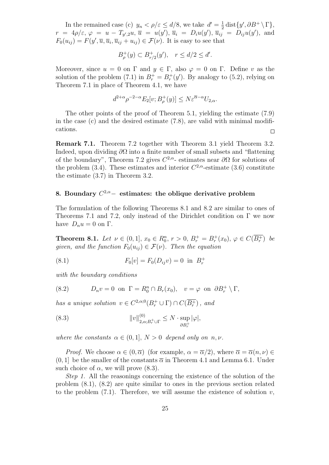In the remained case (c)  $y_n < \rho/\varepsilon \le d/8$ , we take  $d' = \frac{1}{2}$  $\frac{1}{2}$  dist $\{y', \partial B^+ \setminus \Gamma\},$  $r = 4\rho/\varepsilon, \, \varphi = u - T_{y',2}u, \, \overline{u} = u(y'), \, \overline{u}_i = D_i u(y'), \, \overline{u}_{ij} = D_{ij}u(y'),$  and  $F_0(u_{ij}) = F(y', \overline{u}, \overline{u}_i, \overline{u}_{ij} + u_{ij}) \in \mathcal{F}(\nu)$ . It is easy to see that

$$
B_{\rho}^+(y) \subset B_{r/2}^+(y'), \quad r \leq d/2 \leq d'.
$$

Moreover, since  $u = 0$  on  $\Gamma$  and  $y \in \Gamma$ , also  $\varphi = 0$  on  $\Gamma$ . Define *v* as the solution of the problem (7.1) in  $B_r^+ = B_r^+(y')$ . By analogy to (5.2), relying on Theorem 7.1 in place of Theorem 4.1, we have

$$
d^{2+\alpha} \rho^{-2-\alpha} E_2[v; B^+_{\rho}(y)] \le N \varepsilon^{\overline{\alpha}-\alpha} U_{2,\alpha}.
$$

The other points of the proof of Theorem 5.1, yielding the estimate (7.9) in the case  $(c)$  and the desired estimate  $(7.8)$ , are valid with minimal modifications.  $\Box$ 

**Remark 7.1.** Theorem 7.2 together with Theorem 3.1 yield Theorem 3.2. Indeed, upon dividing *∂*Ω into a finite number of small subsets and "flattening of the boundary", Theorem 7.2 gives  $C^{2,\alpha}$ - estimates near  $\partial\Omega$  for solutions of the problem (3.4). These estimates and interior  $C^{2,\alpha}$ -estimate (3.6) constitute the estimate (3.7) in Theorem 3.2.

# **8. Boundary** *C* <sup>2</sup>*,α−* **estimates: the oblique derivative problem**

The formulation of the following Theorems 8.1 and 8.2 are similar to ones of Theorems 7.1 and 7.2, only instead of the Dirichlet condition on  $\Gamma$  we now have  $D_n u = 0$  on  $\Gamma$ .

**Theorem 8.1.** Let  $\nu \in (0,1], x_0 \in R_0^n, r > 0, B_r^+ = B_r^+(x_0), \varphi \in C(\overline{B_r^+})$  be *given, and the function*  $F_0(u_{ij}) \in \mathcal{F}(\nu)$ . Then the equation

(8.1) 
$$
F_0[v] = F_0(D_{ij}v) = 0 \text{ in } B_r^+
$$

*with the boundary conditions*

(8.2) 
$$
D_n v = 0 \text{ on } \Gamma = R_0^n \cap B_r(x_0), v = \varphi \text{ on } \partial B_r^+ \setminus \Gamma,
$$

*has a unique solution*  $v \in C^{2,\alpha;0}(B_r^+ \cup \Gamma) \cap C(\overline{B_r^+})$ , and

(8.3) 
$$
||v||_{2,\alpha;B_r^+\cup\Gamma}^{(0)} \leq N \cdot \sup_{\partial B_r^+} |\varphi|,
$$

*where the constants*  $\alpha \in (0,1], N > 0$  *depend only on n, v.* 

*Proof.* We choose  $\alpha \in (0, \overline{\alpha})$  (for example,  $\alpha = \overline{\alpha}/2$ ), where  $\overline{\alpha} = \overline{\alpha}(n, \nu) \in$  $(0, 1]$  be the smaller of the constants  $\overline{\alpha}$  in Theorem 4.1 and Lemma 6.1. Under such choice of  $\alpha$ , we will prove (8.3).

*Step 1.* All the reasonings concerning the existence of the solution of the problem (8.1), (8.2) are quite similar to ones in the previous section related to the problem  $(7.1)$ . Therefore, we will assume the existence of solution  $v$ ,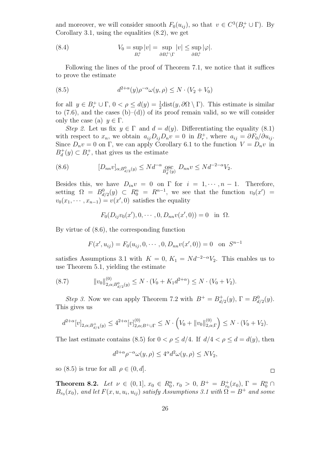and moreover, we will consider smooth  $F_0(u_{ij})$ , so that  $v \in C^3(B_r^+ \cup \Gamma)$ . By Corollary 3.1, using the equalities  $(8.2)$ , we get

(8.4) 
$$
V_0 = \sup_{B_r^+} |v| = \sup_{\partial B_r^+ \backslash \Gamma} |v| \le \sup_{\partial B_r^+} |\varphi|.
$$

Following the lines of the proof of Theorem 7.1, we notice that it suffices to prove the estimate

(8.5) 
$$
d^{2+\alpha}(y)\rho^{-\alpha}\omega(y,\rho) \le N \cdot (V_2 + V_0)
$$

for all  $y \in B_r^+ \cup \Gamma$ ,  $0 < \rho \le d(y) = \frac{1}{2}$ dist $(y, \partial \Omega \setminus \Gamma)$ . This estimate is similar to  $(7.6)$ , and the cases  $(b)$ – $(d)$ ) of its proof remain valid, so we will consider only the case (a)  $y \in \Gamma$ .

*Step 2.* Let us fix  $y \in \Gamma$  and  $d = d(y)$ . Differentiating the equality (8.1) with respect to  $x_n$ , we obtain  $a_{ij}D_{ij}D_n v = 0$  in  $B_r^+$ , where  $a_{ij} = \partial F_0 / \partial u_{ij}$ . Since  $D_n v = 0$  on  $\Gamma$ , we can apply Corollary 6.1 to the function  $V = D_n v$  in  $B_d^+$  $d_d^+(y)$  ⊂  $B_r^+$ , that gives us the estimate

(8.6) 
$$
[D_{nn}v]_{\alpha;B_{d/2}^0(y)} \leq N d^{-\alpha} \underset{B_d^+(y)}{\text{osc}} D_{nn}v \leq N d^{-2-\alpha} V_2.
$$

Besides this, we have  $D_{in}v = 0$  on  $\Gamma$  for  $i = 1, \dots, n-1$ . Therefore, setting  $\Omega = B^0_{d/2}(y) \subset R_0^n = R^{n-1}$ , we see that the function  $v_0(x') =$  $v_0(x_1, \dots, x_{n-1}) = v(x', 0)$  satisfies the equality

$$
F_0(D_{ij}v_0(x'), 0, \cdots, 0, D_{nn}v(x', 0)) = 0 \text{ in } \Omega.
$$

By virtue of (8.6), the corresponding function

$$
F(x', u_{ij}) = F_0(u_{ij}, 0, \cdots, 0, D_{nn}v(x', 0)) = 0 \text{ on } S^{n-1}
$$

satisfies Assumptions 3.1 with  $K = 0$ ,  $K_1 = Nd^{-2-\alpha}V_2$ . This enables us to use Theorem 5.1, yielding the estimate

$$
(8.7) \t\t ||v_0||_{2,\alpha;B_{d/2}^0(y)}^{(0)} \le N \cdot (V_0 + K_1 d^{2+\alpha}) \le N \cdot (V_0 + V_2).
$$

*Step 3.* Now we can apply Theorem 7.2 with  $B^+ = B_d^+$  $d_{d/2}^+(y)$ ,  $\Gamma = B_{d/2}^0(y)$ . This gives us

$$
d^{2+\alpha}[v]_{2,\alpha;B_{d/4}^+(y)} \le 4^{2+\alpha}[v]_{2,\alpha;B^+\cup\Gamma}^{(0)} \le N\cdot \left(V_0 + \|v_0\|_{2,\alpha;\Gamma}^{(0)}\right) \le N\cdot (V_0 + V_2).
$$

The last estimate contains (8.5) for  $0 < \rho \le d/4$ . If  $d/4 < \rho \le d = d(y)$ , then

$$
d^{2+\alpha}\rho^{-\alpha}\omega(y,\rho) \le 4^{\alpha}d^2\omega(y,\rho) \le NV_2,
$$

so (8.5) is true for all  $\rho \in (0, d]$ .

**Theorem 8.2.** *Let*  $\nu \in (0,1], x_0 \in R_0^n, r_0 > 0, B^+ = B_{r_0}^+(x_0), \Gamma = R_0^n \cap$  $B_{r_0}(x_0)$ *, and let*  $F(x, u, u_i, u_{ij})$  *satisfy Assumptions 3.1 with*  $\Omega = B^+$  *and some* 

 $\Box$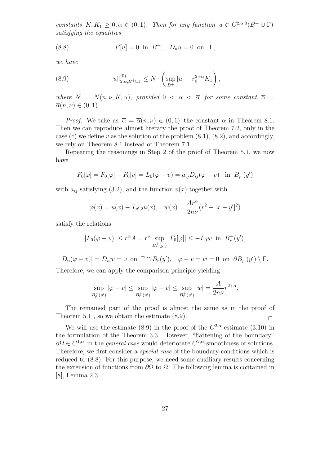*constants*  $K, K_1 \geq 0, \alpha \in (0, 1)$ *. Then for any function*  $u \in C^{2,\alpha;0}(B^+ \cup \Gamma)$ *satisfying the equalities*

(8.8) 
$$
F[u] = 0
$$
 in  $B^+$ ,  $D_n u = 0$  on  $\Gamma$ ,

*we have*

(8.9) 
$$
||u||_{2,\alpha;B^+\cup\Gamma}^{(0)} \leq N \cdot \left(\sup_{B^+} |u| + r_0^{2+\alpha} K_1\right),
$$

*where*  $N = N(n, \nu, K, \alpha)$ *, provided*  $0 < \alpha < \overline{\alpha}$  *for some constant*  $\overline{\alpha} =$  $\overline{\alpha}(n, \nu) \in (0, 1)$ *.* 

*Proof.* We take as  $\overline{\alpha} = \overline{\alpha}(n, \nu) \in (0, 1)$  the constant  $\alpha$  in Theorem 8.1. Then we can reproduce almost literary the proof of Theorem 7.2, only in the case (c) we define *v* as the solution of the problem  $(8.1)$ ,  $(8.2)$ , and accordingly, we rely on Theorem 8.1 instead of Theorem 7.1

Repeating the reasonings in Step 2 of the proof of Theorem 5.1, we now have

$$
F_0[\varphi] = F_0[\varphi] - F_0[v] = L_0(\varphi - v) = a_{ij}D_{ij}(\varphi - v) \text{ in } B_r^+(y')
$$

with  $a_{ij}$  satisfying (3.2), and the function  $v(x)$  together with

$$
\varphi(x) = u(x) - T_{y',2}u(x), \quad w(x) = \frac{Ar^{\alpha}}{2n\nu}(r^2 - |x - y'|^2)
$$

satisfy the relations

$$
|L_0(\varphi - v)| \le r^{\alpha} A = r^{\alpha} \sup_{B_r^+(y')} |F_0[\varphi]| \le -L_0 w \text{ in } B_r^+(y'),
$$

 $D_n(\varphi - v)| = D_n w = 0$  on  $\Gamma \cap B_r(y')$ ,  $\varphi - v = w = 0$  on  $\partial B_r^+(y') \setminus \Gamma$ .

Therefore, we can apply the comparison principle yielding

$$
\sup_{B_{\rho}^+(y')}|\varphi - v| \le \sup_{B_r^+(y')}|\varphi - v| \le \sup_{B_r^+(y')}|w| = \frac{A}{2n\nu}r^{2+\alpha}.
$$

The remained part of the proof is almost the same as in the proof of Theorem 5.1 , so we obtain the estimate (8.9).  $\Box$ 

We will use the estimate (8.9) in the proof of the  $C^{2,\alpha}$ -estimate (3.10) in the formulation of the Theorem 3.3. However, "flattening of the boundary"  $\partial\Omega \in C^{1,\alpha}$  in the *general case* would deteriorate  $C^{2,\alpha}$ -smoothness of solutions. Therefore, we first consider a *special case* of the boundary conditions which is reduced to (8.8). For this purpose, we need some auxiliary results concerning the extension of functions from *∂*Ω to Ω. The following lemma is contained in [8], Lemma 2.3.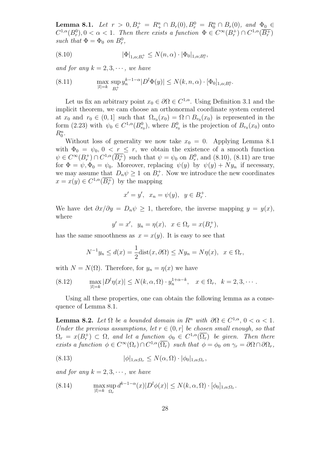**Lemma 8.1.** *Let*  $r > 0, B_r^+ = R_+^n \cap B_r(0), B_r^0 = R_0^n \cap B_r(0)$ , and  $\Phi_0 \in$  $C^{1,\alpha}(B_r^0), 0 < \alpha < 1$ . Then there exists a function  $\Phi \in C^{\infty}(B_r^+) \cap C^{1,\alpha}(\overline{B_r^+})$ *such that*  $\Phi = \Phi_0$  *on*  $B_r^0$ ,

(8.10) 
$$
|\Phi|_{1,\alpha;B_r^+} \le N(n,\alpha) \cdot |\Phi_0|_{1,\alpha;B_r^0},
$$

*and for any*  $k = 2, 3, \cdots$ , we have

(8.11) 
$$
\max_{|l|=k} \sup_{B_r^+} y_n^{k-1-\alpha} |D^l \Phi(y)| \le N(k, n, \alpha) \cdot [\Phi_0]_{1,\alpha;B_r^0}.
$$

Let us fix an arbitrary point  $x_0 \in \partial\Omega \in C^{1,\alpha}$ . Using Definition 3.1 and the implicit theorem, we cam choose an orthonormal coordinate system centered at  $x_0$  and  $r_0 \in (0,1]$  such that  $\Omega_{r_0}(x_0) = \Omega \cap B_{r_0}(x_0)$  is represented in the form (2.23) with  $\psi_0 \in C^{1,\alpha}(B_{r_0}^0)$ , where  $B_{r_0}^0$  is the projection of  $B_{r_0}(x_0)$  onto  $R_0^n$ .

Without loss of generality we now take  $x_0 = 0$ . Applying Lemma 8.1 with  $\Phi_0 = \psi_0$ ,  $0 < r \leq r$ , we obtain the existence of a smooth function  $\psi \in C^{\infty}(B_r^+) \cap C^{1,\alpha}(\overline{B_r^+})$  such that  $\psi = \psi_0$  on  $B_r^0$ , and (8.10), (8.11) are true for  $\Phi = \psi$ ,  $\Phi_0 = \psi_0$ . Moreover, replacing  $\psi(y)$  by  $\psi(y) + Ny_n$  if necessary, we may assume that  $D_n \psi \geq 1$  on  $B_r^+$ . Now we introduce the new coordinates  $x = x(y) \in C^{1,\alpha}(\overline{B_r^+})$  by the mapping

$$
x' = y'
$$
,  $x_n = \psi(y)$ ,  $y \in B_r^+$ .

We have det  $\partial x/\partial y = D_n \psi \geq 1$ , therefore, the inverse mapping  $y = y(x)$ , where

$$
y' = x'
$$
,  $y_n = \eta(x)$ ,  $x \in \Omega_r = x(B_r^+)$ ,

has the same smoothness as  $x = x(y)$ . It is easy to see that

$$
N^{-1}y_n \le d(x) = \frac{1}{2}\text{dist}(x,\partial\Omega) \le Ny_n = N\eta(x), \ \ x \in \Omega_r,
$$

with  $N = N(\Omega)$ . Therefore, for  $y_n = \eta(x)$  we have

(8.12) 
$$
\max_{|l|=k} |D^l \eta(x)| \le N(k, \alpha, \Omega) \cdot y_n^{1+\alpha-k}, \quad x \in \Omega_r, \quad k=2,3,\cdots.
$$

Using all these properties, one can obtain the following lemma as a consequence of Lemma 8.1.

**Lemma 8.2.** *Let*  $\Omega$  *be a bounded domain in*  $R^n$  *with*  $\partial \Omega \in C^{1,\alpha}, 0 < \alpha < 1$ *. Under the previous assumptions, let*  $r \in (0, r]$  *be chosen small enough, so that*  $\Omega_r = x(B_r^+) \subset \Omega$ , and let a function  $\phi_0 \in C^{1,\alpha}(\overline{\Omega_r})$  be given. Then there *exists a function*  $\phi \in C^{\infty}(\Omega_r) \cap C^{1,\alpha}(\overline{\Omega_r})$  *such that*  $\phi = \phi_0$  *on*  $\gamma_r = \partial \Omega \cap \partial \Omega_r$ ,

(8.13) 
$$
|\phi|_{1,\alpha;\Omega_r} \leq N(\alpha,\Omega) \cdot |\phi_0|_{1,\alpha;\Omega_r},
$$

*and for any*  $k = 2, 3, \cdots$ , we have

(8.14) 
$$
\max_{|l|=k} \sup_{\Omega_r} d^{k-1-\alpha}(x)|D^l \phi(x)| \le N(k, \alpha, \Omega) \cdot [\phi_0]_{1,\alpha;\Omega_r}.
$$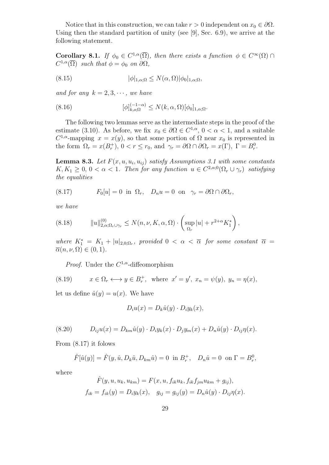Notice that in this construction, we can take  $r > 0$  independent on  $x_0 \in \partial\Omega$ . Using then the standard partition of unity (see [9], Sec. 6.9), we arrive at the following statement.

**Corollary 8.1.** *If*  $\phi_0 \in C^{1,\alpha}(\overline{\Omega})$ , then there exists a function  $\phi \in C^{\infty}(\Omega) \cap C$  $C^{1,\alpha}(\overline{\Omega})$  *such that*  $\phi = \phi_0$  *on*  $\partial\Omega$ *,* 

(8.15) 
$$
|\phi|_{1,\alpha;\Omega} \le N(\alpha,\Omega)|\phi_0|_{1,\alpha;\Omega},
$$

*and for any*  $k = 2, 3, \cdots$ , we have

(8.16) 
$$
[\phi]_{k,o;\Omega}^{(-1-\alpha)} \le N(k,\alpha,\Omega)[\phi_0]_{1,\alpha;\Omega}.
$$

The following two lemmas serve as the intermediate steps in the proof of the estimate (3.10). As before, we fix  $x_0 \in \partial\Omega \in C^{1,\alpha}$ ,  $0 < \alpha < 1$ , and a suitable  $C^{1,\alpha}$ -mapping  $x = x(y)$ , so that some portion of  $\Omega$  near  $x_0$  is represented in the form  $\Omega_r = x(B_r^+), 0 < r \le r_0$ , and  $\gamma_r = \partial \Omega \cap \partial \Omega_r = x(\Gamma), \Gamma = B_r^0$ .

**Lemma 8.3.** Let  $F(x, u, u_i, u_{ij})$  satisfy Assumptions 3.1 with some constants  $K, K_1 \geq 0, 0 < \alpha < 1$ . Then for any function  $u \in C^{2,\alpha,0}(\Omega_r \cup \gamma_r)$  satisfying *the equalities*

(8.17) 
$$
F_0[u] = 0 \text{ in } \Omega_r, \quad D_n u = 0 \text{ on } \gamma_r = \partial \Omega \cap \partial \Omega_r,
$$

*we have*

(8.18) 
$$
||u||_{2,\alpha;\Omega_r \cup \gamma_r}^{(0)} \leq N(n,\nu,K,\alpha,\Omega) \cdot \left(\sup_{\Omega_r} |u| + r^{2+\alpha} K_1^*\right),
$$

*where*  $K_1^* = K_1 + |u|_{2,0;\Omega_r}$ , provided  $0 < \alpha < \overline{\alpha}$  for some constant  $\overline{\alpha} =$  $\overline{\alpha}(n, \nu, \Omega) \in (0, 1)$ *.* 

*Proof.* Under the *C* <sup>1</sup>*,α*-diffeomorphism

(8.19) 
$$
x \in \Omega_r \longleftrightarrow y \in B_r^+, \text{ where } x' = y', x_n = \psi(y), y_n = \eta(x),
$$

let us define  $\hat{u}(y) = u(x)$ . We have

$$
D_i u(x) = D_k \hat{u}(y) \cdot D_i y_k(x),
$$

(8.20) 
$$
D_{ij}u(x) = D_{km}\hat{u}(y) \cdot D_i y_k(x) \cdot D_j y_m(x) + D_n \hat{u}(y) \cdot D_{ij} \eta(x).
$$

From (8.17) it folows

$$
\hat{F}[\hat{u}(y)] = \hat{F}(y, \hat{u}, D_k \hat{u}, D_{km} \hat{u}) = 0
$$
 in  $B_r^+$ ,  $D_n \hat{u} = 0$  on  $\Gamma = B_r^0$ ,

where

$$
\hat{F}(y, u, u_k, u_{km}) = F(x, u, f_{ik}u_k, f_{ik}f_{jm}u_{km} + g_{ij}),
$$
  
\n
$$
f_{ik} = f_{ik}(y) = D_i y_k(x), \quad g_{ij} = g_{ij}(y) = D_n \hat{u}(y) \cdot D_{ij} \eta(x).
$$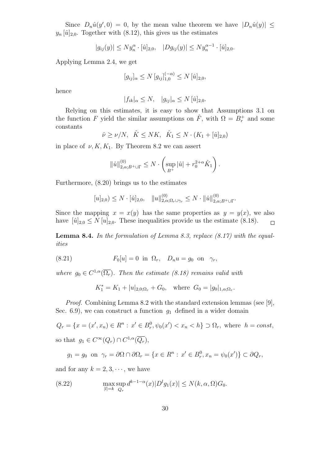Since  $D_n\hat{u}(y',0) = 0$ , by the mean value theorem we have  $|D_n\hat{u}(y)| \leq$  $y_n \hat{u}_{2,0}$ . Together with (8.12), this gives us the estimates

 $|g_{ij}(y)| \le N y_n^{\alpha} \cdot [\hat{u}]_{2,0}, \quad |Dg_{ij}(y)| \le N y_n^{\alpha-1} \cdot [\hat{u}]_{2,0}.$ 

Applying Lemma 2.4, we get

$$
[g_{ij}]_{\alpha} \le N [g_{ij}]_{1,0}^{(-\alpha)} \le N [\hat{u}]_{2,0},
$$

hence

$$
|f_{ik}|_{\alpha} \le N, \quad |g_{ij}|_{\alpha} \le N \left[\hat{u}\right]_{2,0}.
$$

Relying on this estimates, it is easy to show that Assumptions 3.1 on the function *F* yield the similar assumptions on  $\hat{F}$ , with  $\Omega = B_r^+$  and some constants

$$
\hat{\nu} \ge \nu/N, \quad \hat{K} \le NK, \quad \hat{K}_1 \le N \cdot (K_1 + [\hat{u}]_{2,0})
$$

in place of  $\nu, K, K_1$ . By Theorem 8.2 we can assert

$$
\|\hat u\|_{2,\alpha; B^+\cup\Gamma}^{(0)}\leq N\cdot\left(\sup_{B^+}|\hat u|+r_0^{2+\alpha}\hat K_1\right).
$$

Furthermore, (8.20) brings us to the estimates

$$
[u]_{2,0}) \leq N \cdot [\hat{u}]_{2,0}, \quad ||u||_{2,\alpha;\Omega_r \cup \gamma_r}^{(0)} \leq N \cdot ||\hat{u}||_{2,\alpha;B^+\cup\Gamma}^{(0)}.
$$

Since the mapping  $x = x(y)$  has the same properties as  $y = y(x)$ , we also have  $[\hat{u}]_{2,0} \leq N[u]_{2,0}$ . These inequalities provide us the estimate (8.18).  $\Box$ 

**Lemma 8.4.** *In the formulation of Lemma 8.3, replace (8.17) with the equalities*

(8.21) 
$$
F_0[u] = 0 \text{ in } \Omega_r, \quad D_n u = g_0 \text{ on } \gamma_r,
$$

*where*  $g_0 \in C^{1,\alpha}(\overline{\Omega_r})$ *. Then the estimate (8.18) remains valid with* 

$$
K_1^* = K_1 + |u|_{2,0;\Omega_r} + G_0, \quad \text{where } G_0 = |g_0|_{1,\alpha;\Omega_r}.
$$

*Proof.* Combining Lemma 8.2 with the standard extension lemmas (see [9], Sec. 6.9), we can construct a function  $g_1$  defined in a wider domain

$$
Q_r = \{x = (x', x_n) \in R^n : x' \in B_r^0, \psi_0(x') < x_n < h\} \supset \Omega_r, \text{ where } h = const,
$$
\n
$$
\text{so that } g_1 \in C^\infty(Q_r) \cap C^{1,\alpha}(\overline{Q_r}),
$$

$$
g_1 = g_0
$$
 on  $\gamma_r = \partial\Omega \cap \partial\Omega_r = \{x \in R^n : x' \in B_r^0, x_n = \psi_0(x')\} \subset \partial Q_r$ ,

and for any  $k = 2, 3, \dots$ , we have

(8.22) 
$$
\max_{|l|=k} \sup_{Q_r} d^{k-1-\alpha}(x)|D^l g_1(x)| \le N(k, \alpha, \Omega)G_0.
$$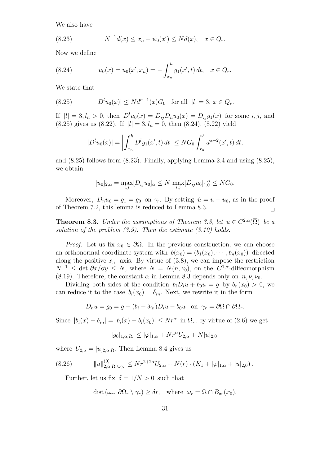We also have

(8.23) 
$$
N^{-1}d(x) \le x_n - \psi_0(x') \le Nd(x), \quad x \in Q_r.
$$

Now we define

(8.24) 
$$
u_0(x) = u_0(x', x_n) = -\int_{x_n}^h g_1(x', t) dt, \quad x \in Q_r.
$$

We state that

(8.25) 
$$
|D^{l}u_{0}(x)| \leq N d^{\alpha - 1}(x)G_{0} \text{ for all } |l| = 3, x \in Q_{r}.
$$

If  $|l| = 3, l_n > 0$ , then  $D^l u_0(x) = D_{ij} D_n u_0(x) = D_{ij} g_1(x)$  for some *i, j*, and  $(8.25)$  gives us  $(8.22)$ . If  $|l| = 3, l_n = 0$ , then  $(8.24)$ ,  $(8.22)$  yield

$$
|D^{l}u_{0}(x)| = \left| \int_{x_{n}}^{h} D^{l}g_{1}(x',t) dt \right| \leq NG_{0} \int_{x_{n}}^{h} d^{\alpha-2}(x',t) dt,
$$

and  $(8.25)$  follows from  $(8.23)$ . Finally, applying Lemma 2.4 and using  $(8.25)$ , we obtain:

$$
[u_0]_{2,\alpha} = \max_{i,j} [D_{ij}u_0]_{\alpha} \le N \max_{i,j} [D_{ij}u_0]_{1,0}^{-\alpha} \le NG_0.
$$

Moreover,  $D_n u_0 = g_1 = g_0$  on  $\gamma_r$ . By setting  $\hat{u} = u - u_0$ , as in the proof of Theorem 7.2, this lemma is reduced to Lemma 8.3.  $\Box$ 

**Theorem 8.3.** *Under the assumptions of Theorem 3.3, let*  $u \in C^{2,\alpha}(\overline{\Omega})$  *be a solution of the problem (3.9). Then the estimate (3.10) holds.*

*Proof.* Let us fix  $x_0 \in \partial \Omega$ . In the previous construction, we can choose an orthonormal coordinate system with  $b(x_0) = (b_1(x_0), \dots, b_n(x_0))$  directed along the positive  $x_n$ - axis. By virtue of  $(3.8)$ , we can impose the restriction  $N^{-1} \leq \det \partial x / \partial y \leq N$ , where  $N = N(n, \nu_0)$ , on the  $C^{1,\alpha}$ -diffeomorphism (8.19). Therefore, the constant  $\overline{\alpha}$  in Lemma 8.3 depends only on  $n, \nu, \nu_0$ .

Dividing both sides of the condition  $b_i D_i u + b_0 u = g$  by  $b_n(x_0) > 0$ , we can reduce it to the case  $b_i(x_0) = \delta_{in}$ . Next, we rewrite it in the form

$$
D_n u = g_0 = g - (b_i - \delta_{in}) D_i u - b_0 u \quad \text{on} \quad \gamma_r = \partial \Omega \cap \partial \Omega_r.
$$

Since  $|b_i(x) - \delta_{in}| = |b_i(x) - b_i(x_0)| \leq Nr^{\alpha}$  in  $\Omega_r$ , by virtue of (2.6) we get

$$
|g_0|_{1,\alpha;\Omega_r} \le |\varphi|_{1,\alpha} + Nr^{\alpha}U_{2,\alpha} + N|u|_{2,0}.
$$

where  $U_{2,\alpha} = [u]_{2,\alpha;\Omega}$ . Then Lemma 8.4 gives us

$$
(8.26) \t\t ||u||_{2,\alpha;\Omega_r \cup \gamma_r}^{(0)} \le Nr^{2+2\alpha}U_{2,\alpha} + N(r) \cdot (K_1 + |\varphi|_{1,\alpha} + |u|_{2,0}).
$$

Further, let us fix  $\delta = 1/N > 0$  such that

$$
\text{dist}(\omega_r, \, \partial \Omega_r \setminus \gamma_r) \ge \delta r, \quad \text{where } \omega_r = \Omega \cap B_{\delta r}(x_0).
$$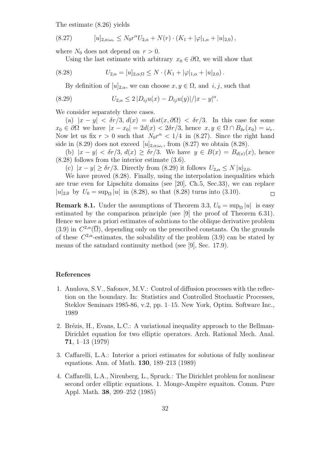The estimate (8.26) yields

$$
(8.27) \t [u]_{2,\alpha;\omega_r} \leq N_0 r^{\alpha} U_{2,\alpha} + N(r) \cdot (K_1 + |\varphi|_{1,\alpha} + |u|_{2,0}),
$$

where  $N_0$  does not depend on  $r > 0$ .

Using the last estimate with arbitrary  $x_0 \in \partial \Omega$ , we will show that

(8.28) 
$$
U_{2,\alpha} = [u]_{2,\alpha;\Omega} \leq N \cdot (K_1 + |\varphi|_{1,\alpha} + |u|_{2,0}).
$$

By definition of  $[u]_{2,\alpha}$ , we can choose  $x, y \in \Omega$ , and  $i, j$ , such that

(8.29) 
$$
U_{2,\alpha} \leq 2 |D_{ij}u(x) - D_{ij}u(y)|/|x - y|^{\alpha}.
$$

We consider separately three cases.

(a)  $|x - y| < \delta r/3$ ,  $d(x) = dist(x, \partial \Omega) < \delta r/3$ . In this case for some  $x_0 \in \partial\Omega$  we have  $|x - x_0| = 2d(x) < 2\delta r/3$ , hence  $x, y \in \Omega \cap B_{\delta r}(x_0) = \omega_r$ . Now let us fix  $r > 0$  such that  $N_0 r^{\alpha} < 1/4$  in (8.27). Since the right hand side in  $(8.29)$  does not exceed  $[u]_{2,\alpha;\omega_r}$ , from  $(8.27)$  we obtain  $(8.28)$ .

(b)  $|x - y| < \delta r/3$ ,  $d(x) \geq \delta r/3$ . We have  $y \in B(x) = B_{d(x)}(x)$ , hence (8.28) follows from the interior estimate (3.6).

(c)  $|x - y| \geq \delta r/3$ . Directly from (8.29) it follows  $U_{2,\alpha} \leq N |u|_{2,0}$ .

We have proved  $(8.28)$ . Finally, using the interpolation inequalities which are true even for Lipschitz domains (see [20], Ch.5, Sec.33), we can replace  $|u|_{2,0}$  by  $U_0 = \sup_{\Omega} |u|$  in (8.28), so that (8.28) turns into (3.10).  $\Box$ 

**Remark 8.1.** Under the assumptions of Theorem 3.3,  $U_0 = \sup_{\Omega} |u|$  is easy estimated by the comparison principle (see [9] the proof of Theorem 6.31). Hence we have a priori estimates of solutions to the oblique derivative problem  $(3.9)$  in  $C^{2,\alpha}(\overline{\Omega})$ , depending only on the prescribed constants. On the grounds of these  $C^{2,\alpha}$ -estimates, the solvability of the problem  $(3.9)$  can be stated by means of the satndard continuity method (see [9], Sec. 17.9).

## **References**

- 1. Anulova, S.V., Safonov, M.V.: Control of diffusion processes with the reflection on the boundary. In: Statistics and Controlled Stochastic Processes, Steklov Seminars 1985-86, v.2, pp. 1–15. New York, Optim. Software Inc., 1989
- 2. Brézis, H., Evans, L.C.: A variational inequality approach to the Bellman-Dirichlet equation for two elliptic operators. Arch. Rational Mech. Anal. **71**, 1–13 (1979)
- 3. Caffarelli, L.A.: Interior a priori estimates for solutions of fully nonlinear equations. Ann. of Math. **130**, 189–213 (1989)
- 4. Caffarelli, L.A., Nirenberg, L., Spruck.: The Dirichlet problem for nonlinear second order elliptic equations. 1. Monge-Ampère equaiton. Comm. Pure Appl. Math. **38**, 209–252 (1985)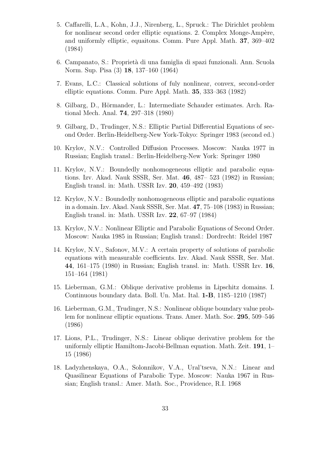- 5. Caffarelli, L.A., Kohn, J.J., Nirenberg, L., Spruck.: The Dirichlet problem for nonlinear second order elliptic equations. 2. Complex Monge-Ampère, and uniformly elliptic, equaitons. Comm. Pure Appl. Math. **37**, 369–402 (1984)
- 6. Campanato, S.: Propriet`a di una famiglia di spazi funzionali. Ann. Scuola Norm. Sup. Pisa (3) **18**, 137–160 (1964)
- 7. Evans, L.C.: Classical solutions of fuly nonlinear, convex, second-order elliptic equations. Comm. Pure Appl. Math. **35**, 333–363 (1982)
- 8. Gilbarg, D., Hörmander, L.: Intermediate Schauder estimates. Arch. Rational Mech. Anal. **74**, 297–318 (1980)
- 9. Gilbarg, D., Trudinger, N.S.: Elliptic Partial Differential Equations of second Order. Berlin-Heidelberg-New York-Tokyo: Springer 1983 (second ed.)
- 10. Krylov, N.V.: Controlled Diffusion Processes. Moscow: Nauka 1977 in Russian; English transl.: Berlin-Heidelberg-New York: Springer 1980
- 11. Krylov, N.V.: Boundedly nonhomogeneous elliptic and parabolic equations. Izv. Akad. Nauk SSSR, Ser. Mat. **46**, 487– 523 (1982) in Russian; English transl. in: Math. USSR Izv. **20**, 459–492 (1983)
- 12. Krylov, N.V.: Boundedly nonhomogeneous elliptic and parabolic equations in a domain. Izv. Akad. Nauk SSSR, Ser. Mat. **47**, 75–108 (1983) in Russian; English transl. in: Math. USSR Izv. **22**, 67–97 (1984)
- 13. Krylov, N.V.: Nonlinear Elliptic and Parabolic Equations of Second Order. Moscow: Nauka 1985 in Russian; English transl.: Dordrecht: Reidel 1987
- 14. Krylov, N.V., Safonov, M.V.: A certain property of solutions of parabolic equations with measurable coefficients. Izv. Akad. Nauk SSSR, Ser. Mat. **44**, 161–175 (1980) in Russian; English transl. in: Math. USSR Izv. **16**, 151–164 (1981)
- 15. Lieberman, G.M.: Oblique derivative problems in Lipschitz domains. I. Continuous boundary data. Boll. Un. Mat. Ital. **1-B**, 1185–1210 (1987)
- 16. Lieberman, G.M., Trudinger, N.S.: Nonlinear oblique boundary value problem for nonlinear elliptic equations. Trans. Amer. Math. Soc. **295**, 509–546 (1986)
- 17. Lions, P.L., Trudinger, N.S.: Linear oblique derivative problem for the uniformly elliptic Hamiltom-Jacobi-Bellman equation. Math. Zeit. **191**, 1– 15 (1986)
- 18. Ladyzhenskaya, O.A., Solonnikov, V.A., Ural'tseva, N.N.: Linear and Quasilinear Equations of Parabolic Type. Moscow: Nauka 1967 in Russian; English transl.: Amer. Math. Soc., Providence, R.I. 1968